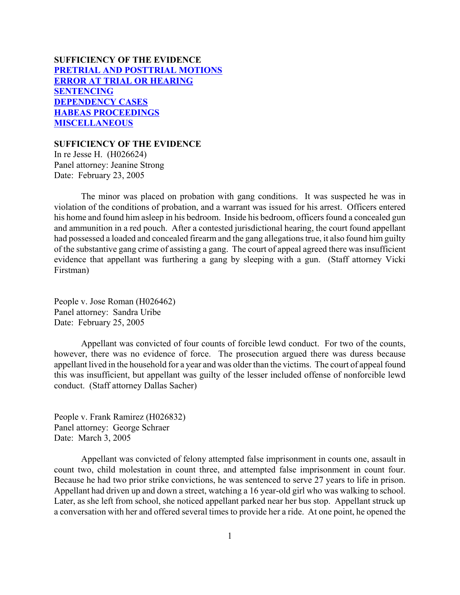# **SUFFICIENCY OF THE EVIDENCE [PRETRIAL AND POSTTRIAL MOTIONS](#page-1-0) [ERROR AT TRIAL OR HEARING](#page-2-0) [SENTENCING](#page-11-0) [DEPENDENCY CASES](#page-30-0) [HABEAS PROCEEDINGS](#page-32-0) [MISCELLANEOUS](#page-36-0)**

#### **SUFFICIENCY OF THE EVIDENCE**

In re Jesse H. (H026624) Panel attorney: Jeanine Strong Date: February 23, 2005

The minor was placed on probation with gang conditions. It was suspected he was in violation of the conditions of probation, and a warrant was issued for his arrest. Officers entered his home and found him asleep in his bedroom. Inside his bedroom, officers found a concealed gun and ammunition in a red pouch. After a contested jurisdictional hearing, the court found appellant had possessed a loaded and concealed firearm and the gang allegations true, it also found him guilty of the substantive gang crime of assisting a gang. The court of appeal agreed there was insufficient evidence that appellant was furthering a gang by sleeping with a gun. (Staff attorney Vicki Firstman)

People v. Jose Roman (H026462) Panel attorney: Sandra Uribe Date: February 25, 2005

Appellant was convicted of four counts of forcible lewd conduct. For two of the counts, however, there was no evidence of force. The prosecution argued there was duress because appellant lived in the household for a year and was older than the victims. The court of appeal found this was insufficient, but appellant was guilty of the lesser included offense of nonforcible lewd conduct. (Staff attorney Dallas Sacher)

People v. Frank Ramirez (H026832) Panel attorney: George Schraer Date: March 3, 2005

Appellant was convicted of felony attempted false imprisonment in counts one, assault in count two, child molestation in count three, and attempted false imprisonment in count four. Because he had two prior strike convictions, he was sentenced to serve 27 years to life in prison. Appellant had driven up and down a street, watching a 16 year-old girl who was walking to school. Later, as she left from school, she noticed appellant parked near her bus stop. Appellant struck up a conversation with her and offered several times to provide her a ride. At one point, he opened the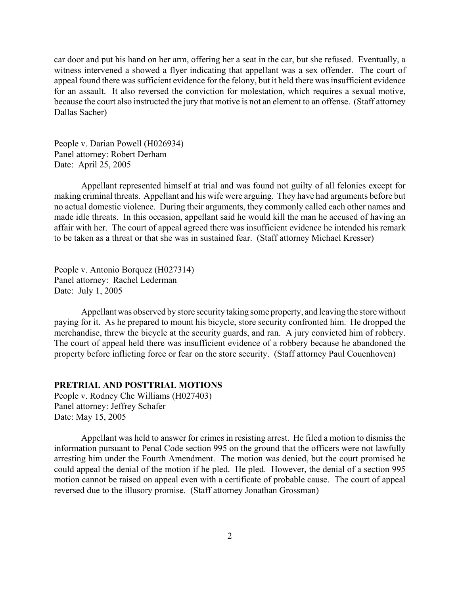<span id="page-1-0"></span>car door and put his hand on her arm, offering her a seat in the car, but she refused. Eventually, a witness intervened a showed a flyer indicating that appellant was a sex offender. The court of appeal found there was sufficient evidence for the felony, but it held there was insufficient evidence for an assault. It also reversed the conviction for molestation, which requires a sexual motive, because the court also instructed the jury that motive is not an element to an offense. (Staff attorney Dallas Sacher)

People v. Darian Powell (H026934) Panel attorney: Robert Derham Date: April 25, 2005

Appellant represented himself at trial and was found not guilty of all felonies except for making criminal threats. Appellant and his wife were arguing. They have had arguments before but no actual domestic violence. During their arguments, they commonly called each other names and made idle threats. In this occasion, appellant said he would kill the man he accused of having an affair with her. The court of appeal agreed there was insufficient evidence he intended his remark to be taken as a threat or that she was in sustained fear. (Staff attorney Michael Kresser)

People v. Antonio Borquez (H027314) Panel attorney: Rachel Lederman Date: July 1, 2005

Appellant was observed by store security taking some property, and leaving the store without paying for it. As he prepared to mount his bicycle, store security confronted him. He dropped the merchandise, threw the bicycle at the security guards, and ran. A jury convicted him of robbery. The court of appeal held there was insufficient evidence of a robbery because he abandoned the property before inflicting force or fear on the store security. (Staff attorney Paul Couenhoven)

## **PRETRIAL AND POSTTRIAL MOTIONS**

People v. Rodney Che Williams (H027403) Panel attorney: Jeffrey Schafer Date: May 15, 2005

Appellant was held to answer for crimes in resisting arrest. He filed a motion to dismiss the information pursuant to Penal Code section 995 on the ground that the officers were not lawfully arresting him under the Fourth Amendment. The motion was denied, but the court promised he could appeal the denial of the motion if he pled. He pled. However, the denial of a section 995 motion cannot be raised on appeal even with a certificate of probable cause. The court of appeal reversed due to the illusory promise. (Staff attorney Jonathan Grossman)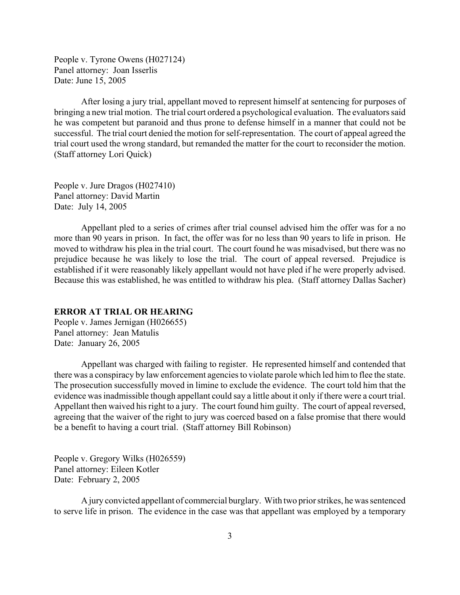<span id="page-2-0"></span>People v. Tyrone Owens (H027124) Panel attorney: Joan Isserlis Date: June 15, 2005

After losing a jury trial, appellant moved to represent himself at sentencing for purposes of bringing a new trial motion. The trial court ordered a psychological evaluation. The evaluators said he was competent but paranoid and thus prone to defense himself in a manner that could not be successful. The trial court denied the motion for self-representation. The court of appeal agreed the trial court used the wrong standard, but remanded the matter for the court to reconsider the motion. (Staff attorney Lori Quick)

People v. Jure Dragos (H027410) Panel attorney: David Martin Date: July 14, 2005

Appellant pled to a series of crimes after trial counsel advised him the offer was for a no more than 90 years in prison. In fact, the offer was for no less than 90 years to life in prison. He moved to withdraw his plea in the trial court. The court found he was misadvised, but there was no prejudice because he was likely to lose the trial. The court of appeal reversed. Prejudice is established if it were reasonably likely appellant would not have pled if he were properly advised. Because this was established, he was entitled to withdraw his plea. (Staff attorney Dallas Sacher)

### **ERROR AT TRIAL OR HEARING**

People v. James Jernigan (H026655) Panel attorney: Jean Matulis Date: January 26, 2005

Appellant was charged with failing to register. He represented himself and contended that there was a conspiracy by law enforcement agencies to violate parole which led him to flee the state. The prosecution successfully moved in limine to exclude the evidence. The court told him that the evidence was inadmissible though appellant could say a little about it only if there were a court trial. Appellant then waived his right to a jury. The court found him guilty. The court of appeal reversed, agreeing that the waiver of the right to jury was coerced based on a false promise that there would be a benefit to having a court trial. (Staff attorney Bill Robinson)

People v. Gregory Wilks (H026559) Panel attorney: Eileen Kotler Date: February 2, 2005

A jury convicted appellant of commercial burglary. With two prior strikes, he was sentenced to serve life in prison. The evidence in the case was that appellant was employed by a temporary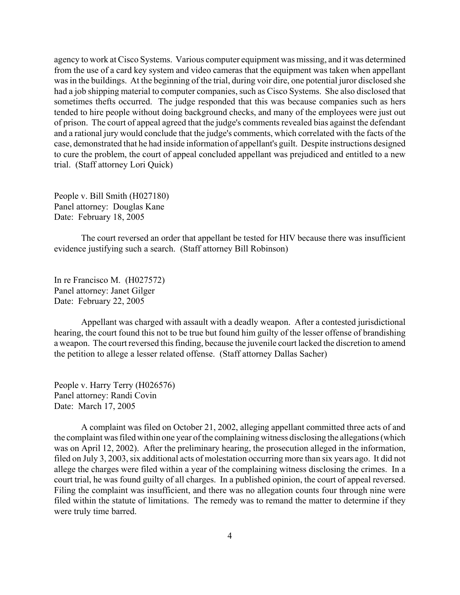agency to work at Cisco Systems. Various computer equipment was missing, and it was determined from the use of a card key system and video cameras that the equipment was taken when appellant was in the buildings. At the beginning of the trial, during voir dire, one potential juror disclosed she had a job shipping material to computer companies, such as Cisco Systems. She also disclosed that sometimes thefts occurred. The judge responded that this was because companies such as hers tended to hire people without doing background checks, and many of the employees were just out of prison. The court of appeal agreed that the judge's comments revealed bias against the defendant and a rational jury would conclude that the judge's comments, which correlated with the facts of the case, demonstrated that he had inside information of appellant's guilt. Despite instructions designed to cure the problem, the court of appeal concluded appellant was prejudiced and entitled to a new trial. (Staff attorney Lori Quick)

People v. Bill Smith (H027180) Panel attorney: Douglas Kane Date: February 18, 2005

The court reversed an order that appellant be tested for HIV because there was insufficient evidence justifying such a search. (Staff attorney Bill Robinson)

In re Francisco M. (H027572) Panel attorney: Janet Gilger Date: February 22, 2005

Appellant was charged with assault with a deadly weapon. After a contested jurisdictional hearing, the court found this not to be true but found him guilty of the lesser offense of brandishing a weapon. The court reversed this finding, because the juvenile court lacked the discretion to amend the petition to allege a lesser related offense. (Staff attorney Dallas Sacher)

People v. Harry Terry (H026576) Panel attorney: Randi Covin Date: March 17, 2005

A complaint was filed on October 21, 2002, alleging appellant committed three acts of and the complaint was filed within one year of the complaining witness disclosing the allegations (which was on April 12, 2002). After the preliminary hearing, the prosecution alleged in the information, filed on July 3, 2003, six additional acts of molestation occurring more than six years ago. It did not allege the charges were filed within a year of the complaining witness disclosing the crimes. In a court trial, he was found guilty of all charges. In a published opinion, the court of appeal reversed. Filing the complaint was insufficient, and there was no allegation counts four through nine were filed within the statute of limitations. The remedy was to remand the matter to determine if they were truly time barred.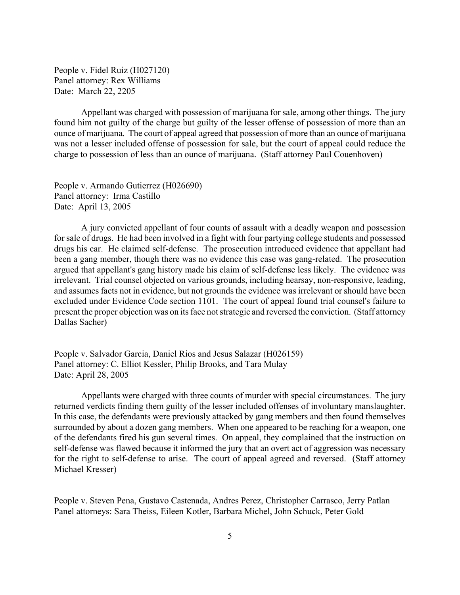People v. Fidel Ruiz (H027120) Panel attorney: Rex Williams Date: March 22, 2205

Appellant was charged with possession of marijuana for sale, among other things. The jury found him not guilty of the charge but guilty of the lesser offense of possession of more than an ounce of marijuana. The court of appeal agreed that possession of more than an ounce of marijuana was not a lesser included offense of possession for sale, but the court of appeal could reduce the charge to possession of less than an ounce of marijuana. (Staff attorney Paul Couenhoven)

People v. Armando Gutierrez (H026690) Panel attorney: Irma Castillo Date: April 13, 2005

A jury convicted appellant of four counts of assault with a deadly weapon and possession for sale of drugs. He had been involved in a fight with four partying college students and possessed drugs his car. He claimed self-defense. The prosecution introduced evidence that appellant had been a gang member, though there was no evidence this case was gang-related. The prosecution argued that appellant's gang history made his claim of self-defense less likely. The evidence was irrelevant. Trial counsel objected on various grounds, including hearsay, non-responsive, leading, and assumes facts not in evidence, but not grounds the evidence was irrelevant or should have been excluded under Evidence Code section 1101. The court of appeal found trial counsel's failure to present the proper objection was on its face not strategic and reversed the conviction. (Staff attorney Dallas Sacher)

People v. Salvador Garcia, Daniel Rios and Jesus Salazar (H026159) Panel attorney: C. Elliot Kessler, Philip Brooks, and Tara Mulay Date: April 28, 2005

Appellants were charged with three counts of murder with special circumstances. The jury returned verdicts finding them guilty of the lesser included offenses of involuntary manslaughter. In this case, the defendants were previously attacked by gang members and then found themselves surrounded by about a dozen gang members. When one appeared to be reaching for a weapon, one of the defendants fired his gun several times. On appeal, they complained that the instruction on self-defense was flawed because it informed the jury that an overt act of aggression was necessary for the right to self-defense to arise. The court of appeal agreed and reversed. (Staff attorney Michael Kresser)

People v. Steven Pena, Gustavo Castenada, Andres Perez, Christopher Carrasco, Jerry Patlan Panel attorneys: Sara Theiss, Eileen Kotler, Barbara Michel, John Schuck, Peter Gold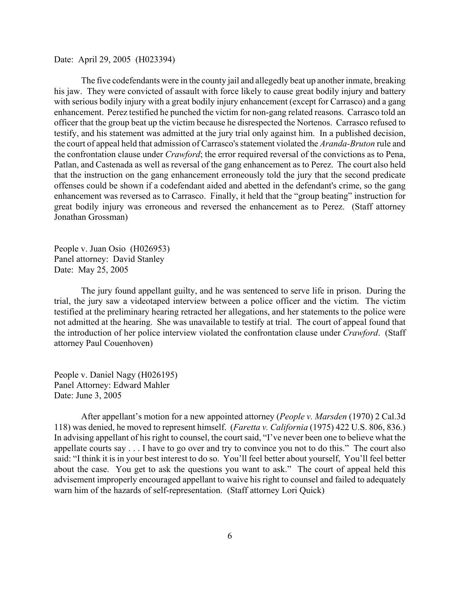Date: April 29, 2005 (H023394)

The five codefendants were in the county jail and allegedly beat up another inmate, breaking his jaw. They were convicted of assault with force likely to cause great bodily injury and battery with serious bodily injury with a great bodily injury enhancement (except for Carrasco) and a gang enhancement. Perez testified he punched the victim for non-gang related reasons. Carrasco told an officer that the group beat up the victim because he disrespected the Nortenos. Carrasco refused to testify, and his statement was admitted at the jury trial only against him. In a published decision, the court of appeal held that admission of Carrasco's statement violated the *Aranda-Bruton* rule and the confrontation clause under *Crawford*; the error required reversal of the convictions as to Pena, Patlan, and Castenada as well as reversal of the gang enhancement as to Perez. The court also held that the instruction on the gang enhancement erroneously told the jury that the second predicate offenses could be shown if a codefendant aided and abetted in the defendant's crime, so the gang enhancement was reversed as to Carrasco. Finally, it held that the "group beating" instruction for great bodily injury was erroneous and reversed the enhancement as to Perez. (Staff attorney Jonathan Grossman)

People v. Juan Osio (H026953) Panel attorney: David Stanley Date: May 25, 2005

The jury found appellant guilty, and he was sentenced to serve life in prison. During the trial, the jury saw a videotaped interview between a police officer and the victim. The victim testified at the preliminary hearing retracted her allegations, and her statements to the police were not admitted at the hearing. She was unavailable to testify at trial. The court of appeal found that the introduction of her police interview violated the confrontation clause under *Crawford*. (Staff attorney Paul Couenhoven)

People v. Daniel Nagy (H026195) Panel Attorney: Edward Mahler Date: June 3, 2005

After appellant's motion for a new appointed attorney (*People v. Marsden* (1970) 2 Cal.3d 118) was denied, he moved to represent himself. (*Faretta v. California* (1975) 422 U.S. 806, 836.) In advising appellant of his right to counsel, the court said, "I've never been one to believe what the appellate courts say . . . I have to go over and try to convince you not to do this." The court also said: "I think it is in your best interest to do so. You'll feel better about yourself, You'll feel better about the case. You get to ask the questions you want to ask." The court of appeal held this advisement improperly encouraged appellant to waive his right to counsel and failed to adequately warn him of the hazards of self-representation. (Staff attorney Lori Quick)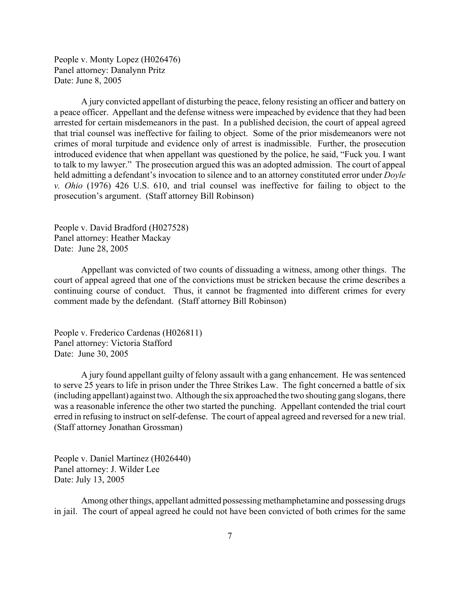People v. Monty Lopez (H026476) Panel attorney: Danalynn Pritz Date: June 8, 2005

A jury convicted appellant of disturbing the peace, felony resisting an officer and battery on a peace officer. Appellant and the defense witness were impeached by evidence that they had been arrested for certain misdemeanors in the past. In a published decision, the court of appeal agreed that trial counsel was ineffective for failing to object. Some of the prior misdemeanors were not crimes of moral turpitude and evidence only of arrest is inadmissible. Further, the prosecution introduced evidence that when appellant was questioned by the police, he said, "Fuck you. I want to talk to my lawyer." The prosecution argued this was an adopted admission. The court of appeal held admitting a defendant's invocation to silence and to an attorney constituted error under *Doyle v. Ohio* (1976) 426 U.S. 610, and trial counsel was ineffective for failing to object to the prosecution's argument. (Staff attorney Bill Robinson)

People v. David Bradford (H027528) Panel attorney: Heather Mackay Date: June 28, 2005

Appellant was convicted of two counts of dissuading a witness, among other things. The court of appeal agreed that one of the convictions must be stricken because the crime describes a continuing course of conduct. Thus, it cannot be fragmented into different crimes for every comment made by the defendant. (Staff attorney Bill Robinson)

People v. Frederico Cardenas (H026811) Panel attorney: Victoria Stafford Date: June 30, 2005

A jury found appellant guilty of felony assault with a gang enhancement. He was sentenced to serve 25 years to life in prison under the Three Strikes Law. The fight concerned a battle of six (including appellant) against two. Although the six approached the two shouting gang slogans, there was a reasonable inference the other two started the punching. Appellant contended the trial court erred in refusing to instruct on self-defense. The court of appeal agreed and reversed for a new trial. (Staff attorney Jonathan Grossman)

People v. Daniel Martinez (H026440) Panel attorney: J. Wilder Lee Date: July 13, 2005

Among other things, appellant admitted possessing methamphetamine and possessing drugs in jail. The court of appeal agreed he could not have been convicted of both crimes for the same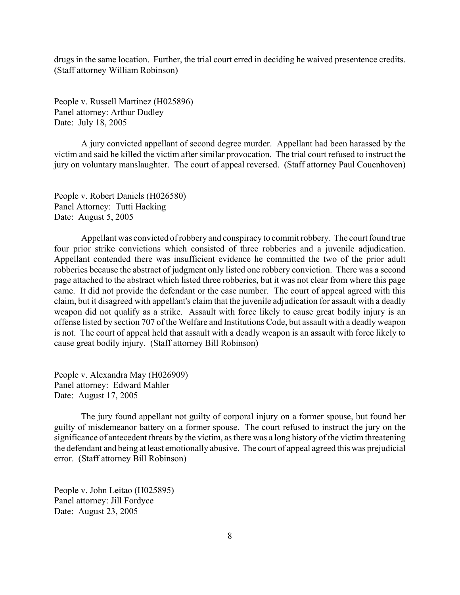drugs in the same location. Further, the trial court erred in deciding he waived presentence credits. (Staff attorney William Robinson)

People v. Russell Martinez (H025896) Panel attorney: Arthur Dudley Date: July 18, 2005

A jury convicted appellant of second degree murder. Appellant had been harassed by the victim and said he killed the victim after similar provocation. The trial court refused to instruct the jury on voluntary manslaughter. The court of appeal reversed. (Staff attorney Paul Couenhoven)

People v. Robert Daniels (H026580) Panel Attorney: Tutti Hacking Date: August 5, 2005

Appellant was convicted of robbery and conspiracy to commit robbery. The court found true four prior strike convictions which consisted of three robberies and a juvenile adjudication. Appellant contended there was insufficient evidence he committed the two of the prior adult robberies because the abstract of judgment only listed one robbery conviction. There was a second page attached to the abstract which listed three robberies, but it was not clear from where this page came. It did not provide the defendant or the case number. The court of appeal agreed with this claim, but it disagreed with appellant's claim that the juvenile adjudication for assault with a deadly weapon did not qualify as a strike. Assault with force likely to cause great bodily injury is an offense listed by section 707 of the Welfare and Institutions Code, but assault with a deadly weapon is not. The court of appeal held that assault with a deadly weapon is an assault with force likely to cause great bodily injury. (Staff attorney Bill Robinson)

People v. Alexandra May (H026909) Panel attorney: Edward Mahler Date: August 17, 2005

The jury found appellant not guilty of corporal injury on a former spouse, but found her guilty of misdemeanor battery on a former spouse. The court refused to instruct the jury on the significance of antecedent threats by the victim, as there was a long history of the victim threatening the defendant and being at least emotionally abusive. The court of appeal agreed this was prejudicial error. (Staff attorney Bill Robinson)

People v. John Leitao (H025895) Panel attorney: Jill Fordyce Date: August 23, 2005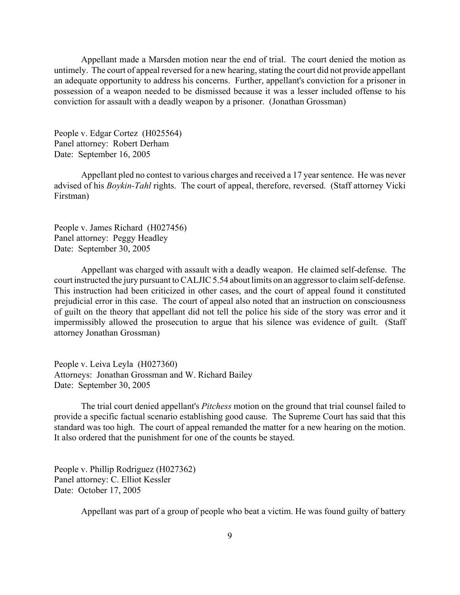Appellant made a Marsden motion near the end of trial. The court denied the motion as untimely. The court of appeal reversed for a new hearing, stating the court did not provide appellant an adequate opportunity to address his concerns. Further, appellant's conviction for a prisoner in possession of a weapon needed to be dismissed because it was a lesser included offense to his conviction for assault with a deadly weapon by a prisoner. (Jonathan Grossman)

People v. Edgar Cortez (H025564) Panel attorney: Robert Derham Date: September 16, 2005

Appellant pled no contest to various charges and received a 17 year sentence. He was never advised of his *Boykin-Tahl* rights. The court of appeal, therefore, reversed. (Staff attorney Vicki Firstman)

People v. James Richard (H027456) Panel attorney: Peggy Headley Date: September 30, 2005

Appellant was charged with assault with a deadly weapon. He claimed self-defense. The court instructed the jury pursuant to CALJIC 5.54 about limits on an aggressor to claim self-defense. This instruction had been criticized in other cases, and the court of appeal found it constituted prejudicial error in this case. The court of appeal also noted that an instruction on consciousness of guilt on the theory that appellant did not tell the police his side of the story was error and it impermissibly allowed the prosecution to argue that his silence was evidence of guilt. (Staff attorney Jonathan Grossman)

People v. Leiva Leyla (H027360) Attorneys: Jonathan Grossman and W. Richard Bailey Date: September 30, 2005

The trial court denied appellant's *Pitchess* motion on the ground that trial counsel failed to provide a specific factual scenario establishing good cause. The Supreme Court has said that this standard was too high. The court of appeal remanded the matter for a new hearing on the motion. It also ordered that the punishment for one of the counts be stayed.

People v. Phillip Rodriguez (H027362) Panel attorney: C. Elliot Kessler Date: October 17, 2005

Appellant was part of a group of people who beat a victim. He was found guilty of battery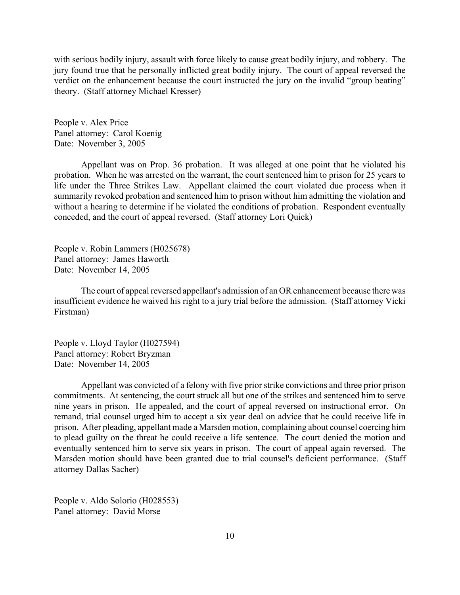with serious bodily injury, assault with force likely to cause great bodily injury, and robbery. The jury found true that he personally inflicted great bodily injury. The court of appeal reversed the verdict on the enhancement because the court instructed the jury on the invalid "group beating" theory. (Staff attorney Michael Kresser)

People v. Alex Price Panel attorney: Carol Koenig Date: November 3, 2005

Appellant was on Prop. 36 probation. It was alleged at one point that he violated his probation. When he was arrested on the warrant, the court sentenced him to prison for 25 years to life under the Three Strikes Law. Appellant claimed the court violated due process when it summarily revoked probation and sentenced him to prison without him admitting the violation and without a hearing to determine if he violated the conditions of probation. Respondent eventually conceded, and the court of appeal reversed. (Staff attorney Lori Quick)

People v. Robin Lammers (H025678) Panel attorney: James Haworth Date: November 14, 2005

The court of appeal reversed appellant's admission of an OR enhancement because there was insufficient evidence he waived his right to a jury trial before the admission. (Staff attorney Vicki Firstman)

People v. Lloyd Taylor (H027594) Panel attorney: Robert Bryzman Date: November 14, 2005

Appellant was convicted of a felony with five prior strike convictions and three prior prison commitments. At sentencing, the court struck all but one of the strikes and sentenced him to serve nine years in prison. He appealed, and the court of appeal reversed on instructional error. On remand, trial counsel urged him to accept a six year deal on advice that he could receive life in prison. After pleading, appellant made a Marsden motion, complaining about counsel coercing him to plead guilty on the threat he could receive a life sentence. The court denied the motion and eventually sentenced him to serve six years in prison. The court of appeal again reversed. The Marsden motion should have been granted due to trial counsel's deficient performance. (Staff attorney Dallas Sacher)

People v. Aldo Solorio (H028553) Panel attorney: David Morse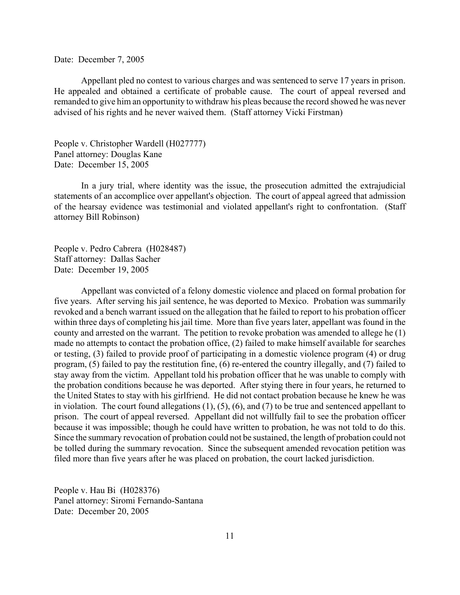#### Date: December 7, 2005

Appellant pled no contest to various charges and was sentenced to serve 17 years in prison. He appealed and obtained a certificate of probable cause. The court of appeal reversed and remanded to give him an opportunity to withdraw his pleas because the record showed he was never advised of his rights and he never waived them. (Staff attorney Vicki Firstman)

People v. Christopher Wardell (H027777) Panel attorney: Douglas Kane Date: December 15, 2005

In a jury trial, where identity was the issue, the prosecution admitted the extrajudicial statements of an accomplice over appellant's objection. The court of appeal agreed that admission of the hearsay evidence was testimonial and violated appellant's right to confrontation. (Staff attorney Bill Robinson)

People v. Pedro Cabrera (H028487) Staff attorney: Dallas Sacher Date: December 19, 2005

Appellant was convicted of a felony domestic violence and placed on formal probation for five years. After serving his jail sentence, he was deported to Mexico. Probation was summarily revoked and a bench warrant issued on the allegation that he failed to report to his probation officer within three days of completing his jail time. More than five years later, appellant was found in the county and arrested on the warrant. The petition to revoke probation was amended to allege he (1) made no attempts to contact the probation office, (2) failed to make himself available for searches or testing, (3) failed to provide proof of participating in a domestic violence program (4) or drug program, (5) failed to pay the restitution fine, (6) re-entered the country illegally, and (7) failed to stay away from the victim. Appellant told his probation officer that he was unable to comply with the probation conditions because he was deported. After stying there in four years, he returned to the United States to stay with his girlfriend. He did not contact probation because he knew he was in violation. The court found allegations (1), (5), (6), and (7) to be true and sentenced appellant to prison. The court of appeal reversed. Appellant did not willfully fail to see the probation officer because it was impossible; though he could have written to probation, he was not told to do this. Since the summary revocation of probation could not be sustained, the length of probation could not be tolled during the summary revocation. Since the subsequent amended revocation petition was filed more than five years after he was placed on probation, the court lacked jurisdiction.

People v. Hau Bi (H028376) Panel attorney: Siromi Fernando-Santana Date: December 20, 2005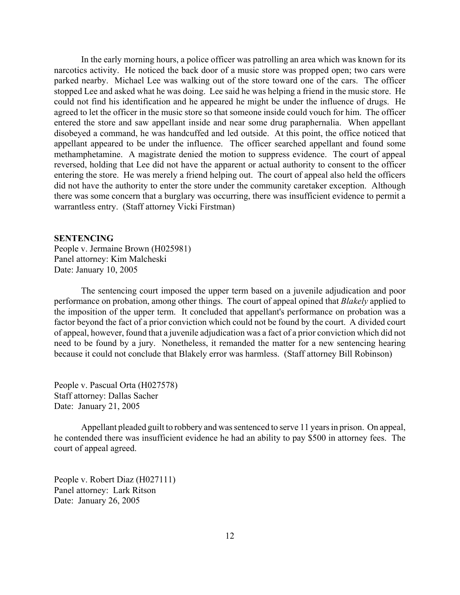<span id="page-11-0"></span>In the early morning hours, a police officer was patrolling an area which was known for its narcotics activity. He noticed the back door of a music store was propped open; two cars were parked nearby. Michael Lee was walking out of the store toward one of the cars. The officer stopped Lee and asked what he was doing. Lee said he was helping a friend in the music store. He could not find his identification and he appeared he might be under the influence of drugs. He agreed to let the officer in the music store so that someone inside could vouch for him. The officer entered the store and saw appellant inside and near some drug paraphernalia. When appellant disobeyed a command, he was handcuffed and led outside. At this point, the office noticed that appellant appeared to be under the influence. The officer searched appellant and found some methamphetamine. A magistrate denied the motion to suppress evidence. The court of appeal reversed, holding that Lee did not have the apparent or actual authority to consent to the officer entering the store. He was merely a friend helping out. The court of appeal also held the officers did not have the authority to enter the store under the community caretaker exception. Although there was some concern that a burglary was occurring, there was insufficient evidence to permit a warrantless entry. (Staff attorney Vicki Firstman)

#### **SENTENCING**

People v. Jermaine Brown (H025981) Panel attorney: Kim Malcheski Date: January 10, 2005

The sentencing court imposed the upper term based on a juvenile adjudication and poor performance on probation, among other things. The court of appeal opined that *Blakely* applied to the imposition of the upper term. It concluded that appellant's performance on probation was a factor beyond the fact of a prior conviction which could not be found by the court. A divided court of appeal, however, found that a juvenile adjudication was a fact of a prior conviction which did not need to be found by a jury. Nonetheless, it remanded the matter for a new sentencing hearing because it could not conclude that Blakely error was harmless. (Staff attorney Bill Robinson)

People v. Pascual Orta (H027578) Staff attorney: Dallas Sacher Date: January 21, 2005

Appellant pleaded guilt to robbery and was sentenced to serve 11 years in prison. On appeal, he contended there was insufficient evidence he had an ability to pay \$500 in attorney fees. The court of appeal agreed.

People v. Robert Diaz (H027111) Panel attorney: Lark Ritson Date: January 26, 2005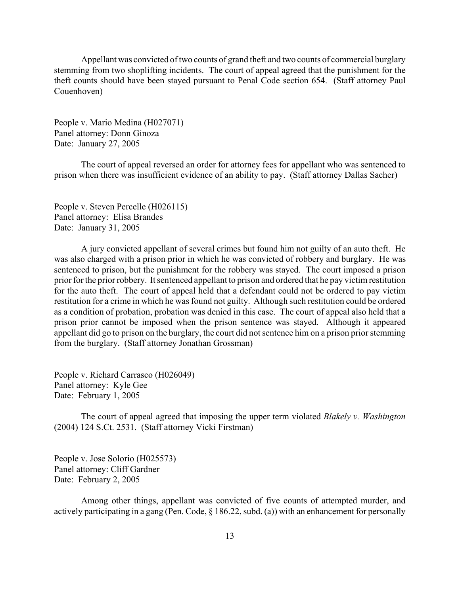Appellant was convicted of two counts of grand theft and two counts of commercial burglary stemming from two shoplifting incidents. The court of appeal agreed that the punishment for the theft counts should have been stayed pursuant to Penal Code section 654. (Staff attorney Paul Couenhoven)

People v. Mario Medina (H027071) Panel attorney: Donn Ginoza Date: January 27, 2005

The court of appeal reversed an order for attorney fees for appellant who was sentenced to prison when there was insufficient evidence of an ability to pay. (Staff attorney Dallas Sacher)

People v. Steven Percelle (H026115) Panel attorney: Elisa Brandes Date: January 31, 2005

A jury convicted appellant of several crimes but found him not guilty of an auto theft. He was also charged with a prison prior in which he was convicted of robbery and burglary. He was sentenced to prison, but the punishment for the robbery was stayed. The court imposed a prison prior for the prior robbery. It sentenced appellant to prison and ordered that he pay victim restitution for the auto theft. The court of appeal held that a defendant could not be ordered to pay victim restitution for a crime in which he was found not guilty. Although such restitution could be ordered as a condition of probation, probation was denied in this case. The court of appeal also held that a prison prior cannot be imposed when the prison sentence was stayed. Although it appeared appellant did go to prison on the burglary, the court did not sentence him on a prison prior stemming from the burglary. (Staff attorney Jonathan Grossman)

People v. Richard Carrasco (H026049) Panel attorney: Kyle Gee Date: February 1, 2005

The court of appeal agreed that imposing the upper term violated *Blakely v. Washington* (2004) 124 S.Ct. 2531. (Staff attorney Vicki Firstman)

People v. Jose Solorio (H025573) Panel attorney: Cliff Gardner Date: February 2, 2005

Among other things, appellant was convicted of five counts of attempted murder, and actively participating in a gang (Pen. Code, § 186.22, subd. (a)) with an enhancement for personally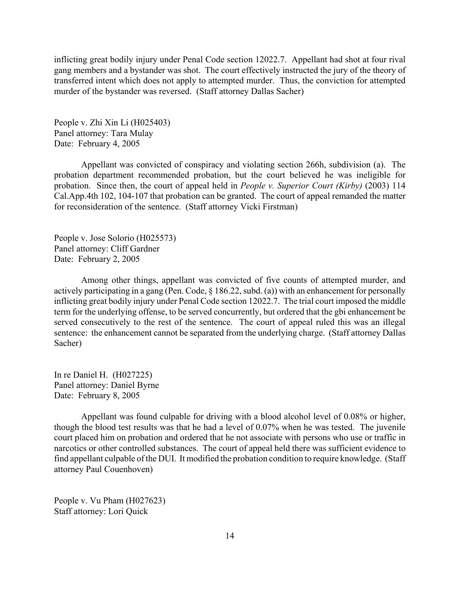inflicting great bodily injury under Penal Code section 12022.7. Appellant had shot at four rival gang members and a bystander was shot. The court effectively instructed the jury of the theory of transferred intent which does not apply to attempted murder. Thus, the conviction for attempted murder of the bystander was reversed. (Staff attorney Dallas Sacher)

People v. Zhi Xin Li (H025403) Panel attorney: Tara Mulay Date: February 4, 2005

Appellant was convicted of conspiracy and violating section 266h, subdivision (a). The probation department recommended probation, but the court believed he was ineligible for probation. Since then, the court of appeal held in *People v. Superior Court (Kirby)* (2003) 114 Cal.App.4th 102, 104-107 that probation can be granted. The court of appeal remanded the matter for reconsideration of the sentence. (Staff attorney Vicki Firstman)

People v. Jose Solorio (H025573) Panel attorney: Cliff Gardner Date: February 2, 2005

Among other things, appellant was convicted of five counts of attempted murder, and actively participating in a gang (Pen. Code, § 186.22, subd. (a)) with an enhancement for personally inflicting great bodily injury under Penal Code section 12022.7. The trial court imposed the middle term for the underlying offense, to be served concurrently, but ordered that the gbi enhancement be served consecutively to the rest of the sentence. The court of appeal ruled this was an illegal sentence: the enhancement cannot be separated from the underlying charge. (Staff attorney Dallas Sacher)

In re Daniel H. (H027225) Panel attorney: Daniel Byrne Date: February 8, 2005

Appellant was found culpable for driving with a blood alcohol level of 0.08% or higher, though the blood test results was that he had a level of 0.07% when he was tested. The juvenile court placed him on probation and ordered that he not associate with persons who use or traffic in narcotics or other controlled substances. The court of appeal held there was sufficient evidence to find appellant culpable of the DUI. It modified the probation condition to require knowledge. (Staff attorney Paul Couenhoven)

People v. Vu Pham (H027623) Staff attorney: Lori Quick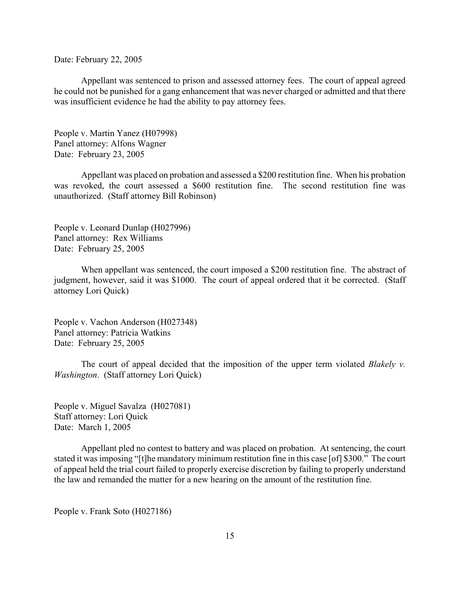Date: February 22, 2005

Appellant was sentenced to prison and assessed attorney fees. The court of appeal agreed he could not be punished for a gang enhancement that was never charged or admitted and that there was insufficient evidence he had the ability to pay attorney fees.

People v. Martin Yanez (H07998) Panel attorney: Alfons Wagner Date: February 23, 2005

Appellant was placed on probation and assessed a \$200 restitution fine. When his probation was revoked, the court assessed a \$600 restitution fine. The second restitution fine was unauthorized. (Staff attorney Bill Robinson)

People v. Leonard Dunlap (H027996) Panel attorney: Rex Williams Date: February 25, 2005

When appellant was sentenced, the court imposed a \$200 restitution fine. The abstract of judgment, however, said it was \$1000. The court of appeal ordered that it be corrected. (Staff attorney Lori Quick)

People v. Vachon Anderson (H027348) Panel attorney: Patricia Watkins Date: February 25, 2005

The court of appeal decided that the imposition of the upper term violated *Blakely v. Washington*. (Staff attorney Lori Quick)

People v. Miguel Savalza (H027081) Staff attorney: Lori Quick Date: March 1, 2005

Appellant pled no contest to battery and was placed on probation. At sentencing, the court stated it was imposing "[t]he mandatory minimum restitution fine in this case [of] \$300." The court of appeal held the trial court failed to properly exercise discretion by failing to properly understand the law and remanded the matter for a new hearing on the amount of the restitution fine.

People v. Frank Soto (H027186)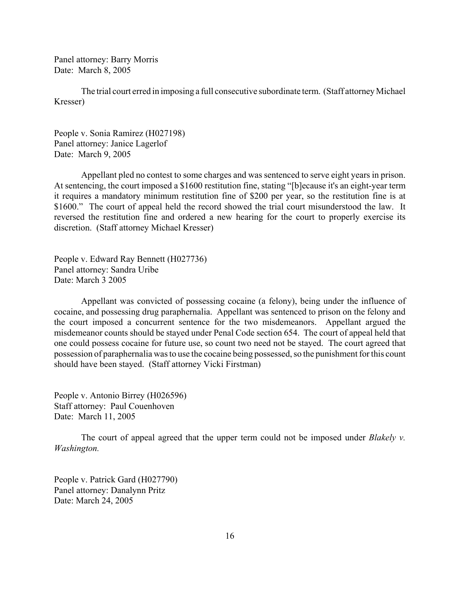Panel attorney: Barry Morris Date: March 8, 2005

The trial court erred in imposing a full consecutive subordinate term. (Staff attorney Michael Kresser)

People v. Sonia Ramirez (H027198) Panel attorney: Janice Lagerlof Date: March 9, 2005

Appellant pled no contest to some charges and was sentenced to serve eight years in prison. At sentencing, the court imposed a \$1600 restitution fine, stating "[b]ecause it's an eight-year term it requires a mandatory minimum restitution fine of \$200 per year, so the restitution fine is at \$1600." The court of appeal held the record showed the trial court misunderstood the law. It reversed the restitution fine and ordered a new hearing for the court to properly exercise its discretion. (Staff attorney Michael Kresser)

People v. Edward Ray Bennett (H027736) Panel attorney: Sandra Uribe Date: March 3 2005

Appellant was convicted of possessing cocaine (a felony), being under the influence of cocaine, and possessing drug paraphernalia. Appellant was sentenced to prison on the felony and the court imposed a concurrent sentence for the two misdemeanors. Appellant argued the misdemeanor counts should be stayed under Penal Code section 654. The court of appeal held that one could possess cocaine for future use, so count two need not be stayed. The court agreed that possession of paraphernalia was to use the cocaine being possessed, so the punishment for this count should have been stayed. (Staff attorney Vicki Firstman)

People v. Antonio Birrey (H026596) Staff attorney: Paul Couenhoven Date: March 11, 2005

The court of appeal agreed that the upper term could not be imposed under *Blakely v. Washington.*

People v. Patrick Gard (H027790) Panel attorney: Danalynn Pritz Date: March 24, 2005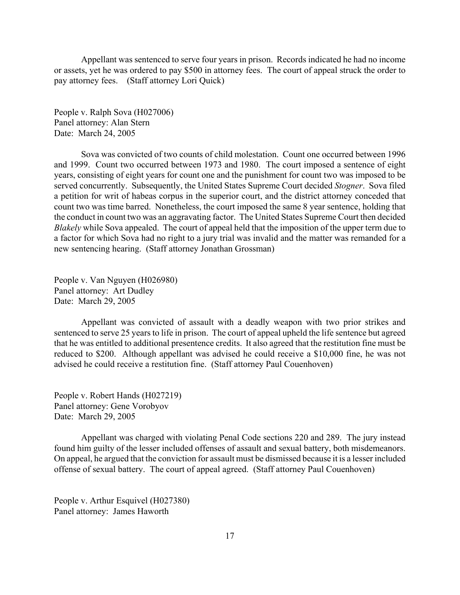Appellant was sentenced to serve four years in prison. Records indicated he had no income or assets, yet he was ordered to pay \$500 in attorney fees. The court of appeal struck the order to pay attorney fees. (Staff attorney Lori Quick)

People v. Ralph Sova (H027006) Panel attorney: Alan Stern Date: March 24, 2005

Sova was convicted of two counts of child molestation. Count one occurred between 1996 and 1999. Count two occurred between 1973 and 1980. The court imposed a sentence of eight years, consisting of eight years for count one and the punishment for count two was imposed to be served concurrently. Subsequently, the United States Supreme Court decided *Stogner*. Sova filed a petition for writ of habeas corpus in the superior court, and the district attorney conceded that count two was time barred. Nonetheless, the court imposed the same 8 year sentence, holding that the conduct in count two was an aggravating factor. The United States Supreme Court then decided *Blakely* while Sova appealed. The court of appeal held that the imposition of the upper term due to a factor for which Sova had no right to a jury trial was invalid and the matter was remanded for a new sentencing hearing. (Staff attorney Jonathan Grossman)

People v. Van Nguyen (H026980) Panel attorney: Art Dudley Date: March 29, 2005

Appellant was convicted of assault with a deadly weapon with two prior strikes and sentenced to serve 25 years to life in prison. The court of appeal upheld the life sentence but agreed that he was entitled to additional presentence credits. It also agreed that the restitution fine must be reduced to \$200. Although appellant was advised he could receive a \$10,000 fine, he was not advised he could receive a restitution fine. (Staff attorney Paul Couenhoven)

People v. Robert Hands (H027219) Panel attorney: Gene Vorobyov Date: March 29, 2005

Appellant was charged with violating Penal Code sections 220 and 289. The jury instead found him guilty of the lesser included offenses of assault and sexual battery, both misdemeanors. On appeal, he argued that the conviction for assault must be dismissed because it is a lesser included offense of sexual battery. The court of appeal agreed. (Staff attorney Paul Couenhoven)

People v. Arthur Esquivel (H027380) Panel attorney: James Haworth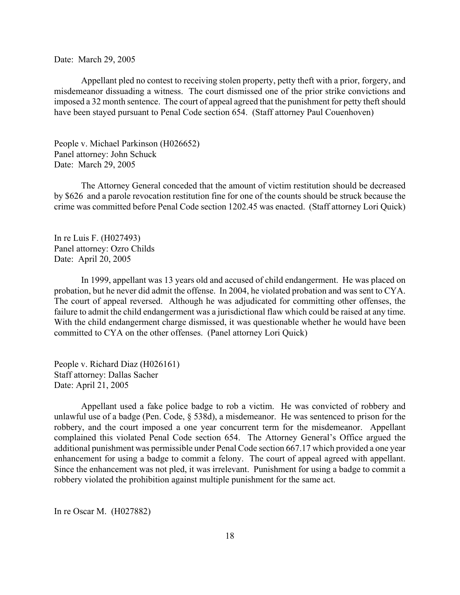Date: March 29, 2005

Appellant pled no contest to receiving stolen property, petty theft with a prior, forgery, and misdemeanor dissuading a witness. The court dismissed one of the prior strike convictions and imposed a 32 month sentence. The court of appeal agreed that the punishment for petty theft should have been stayed pursuant to Penal Code section 654. (Staff attorney Paul Couenhoven)

People v. Michael Parkinson (H026652) Panel attorney: John Schuck Date: March 29, 2005

The Attorney General conceded that the amount of victim restitution should be decreased by \$626 and a parole revocation restitution fine for one of the counts should be struck because the crime was committed before Penal Code section 1202.45 was enacted. (Staff attorney Lori Quick)

In re Luis F. (H027493) Panel attorney: Ozro Childs Date: April 20, 2005

In 1999, appellant was 13 years old and accused of child endangerment. He was placed on probation, but he never did admit the offense. In 2004, he violated probation and was sent to CYA. The court of appeal reversed. Although he was adjudicated for committing other offenses, the failure to admit the child endangerment was a jurisdictional flaw which could be raised at any time. With the child endangerment charge dismissed, it was questionable whether he would have been committed to CYA on the other offenses. (Panel attorney Lori Quick)

People v. Richard Diaz (H026161) Staff attorney: Dallas Sacher Date: April 21, 2005

Appellant used a fake police badge to rob a victim. He was convicted of robbery and unlawful use of a badge (Pen. Code, § 538d), a misdemeanor. He was sentenced to prison for the robbery, and the court imposed a one year concurrent term for the misdemeanor. Appellant complained this violated Penal Code section 654. The Attorney General's Office argued the additional punishment was permissible under Penal Code section 667.17 which provided a one year enhancement for using a badge to commit a felony. The court of appeal agreed with appellant. Since the enhancement was not pled, it was irrelevant. Punishment for using a badge to commit a robbery violated the prohibition against multiple punishment for the same act.

In re Oscar M. (H027882)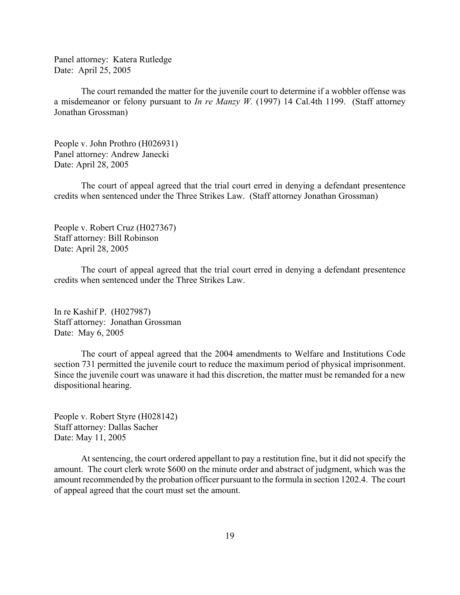Panel attorney: Katera Rutledge Date: April 25, 2005

The court remanded the matter for the juvenile court to determine if a wobbler offense was a misdemeanor or felony pursuant to *In re Manzy W.* (1997) 14 Cal.4th 1199. (Staff attorney Jonathan Grossman)

People v. John Prothro (H026931) Panel attorney: Andrew Janecki Date: April 28, 2005

The court of appeal agreed that the trial court erred in denying a defendant presentence credits when sentenced under the Three Strikes Law. (Staff attorney Jonathan Grossman)

People v. Robert Cruz (H027367) Staff attorney: Bill Robinson Date: April 28, 2005

The court of appeal agreed that the trial court erred in denying a defendant presentence credits when sentenced under the Three Strikes Law.

In re Kashif P. (H027987) Staff attorney: Jonathan Grossman Date: May 6, 2005

The court of appeal agreed that the 2004 amendments to Welfare and Institutions Code section 731 permitted the juvenile court to reduce the maximum period of physical imprisonment. Since the juvenile court was unaware it had this discretion, the matter must be remanded for a new dispositional hearing.

People v. Robert Styre (H028142) Staff attorney: Dallas Sacher Date: May 11, 2005

At sentencing, the court ordered appellant to pay a restitution fine, but it did not specify the amount. The court clerk wrote \$600 on the minute order and abstract of judgment, which was the amount recommended by the probation officer pursuant to the formula in section 1202.4. The court of appeal agreed that the court must set the amount.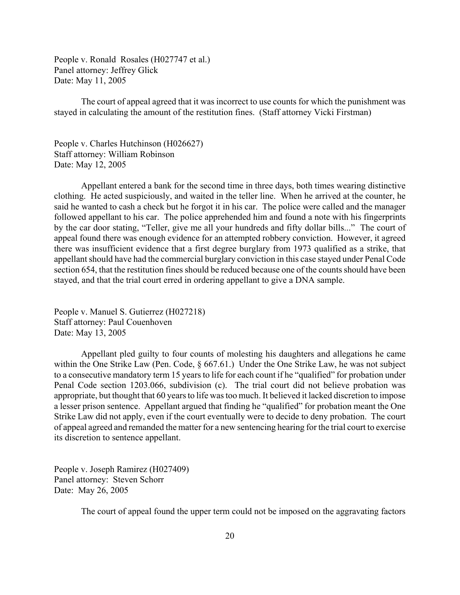People v. Ronald Rosales (H027747 et al.) Panel attorney: Jeffrey Glick Date: May 11, 2005

The court of appeal agreed that it was incorrect to use counts for which the punishment was stayed in calculating the amount of the restitution fines. (Staff attorney Vicki Firstman)

People v. Charles Hutchinson (H026627) Staff attorney: William Robinson Date: May 12, 2005

Appellant entered a bank for the second time in three days, both times wearing distinctive clothing. He acted suspiciously, and waited in the teller line. When he arrived at the counter, he said he wanted to cash a check but he forgot it in his car. The police were called and the manager followed appellant to his car. The police apprehended him and found a note with his fingerprints by the car door stating, "Teller, give me all your hundreds and fifty dollar bills..." The court of appeal found there was enough evidence for an attempted robbery conviction. However, it agreed there was insufficient evidence that a first degree burglary from 1973 qualified as a strike, that appellant should have had the commercial burglary conviction in this case stayed under Penal Code section 654, that the restitution fines should be reduced because one of the counts should have been stayed, and that the trial court erred in ordering appellant to give a DNA sample.

People v. Manuel S. Gutierrez (H027218) Staff attorney: Paul Couenhoven Date: May 13, 2005

Appellant pled guilty to four counts of molesting his daughters and allegations he came within the One Strike Law (Pen. Code, § 667.61.) Under the One Strike Law, he was not subject to a consecutive mandatory term 15 years to life for each count if he "qualified" for probation under Penal Code section 1203.066, subdivision (c). The trial court did not believe probation was appropriate, but thought that 60 years to life was too much. It believed it lacked discretion to impose a lesser prison sentence. Appellant argued that finding he "qualified" for probation meant the One Strike Law did not apply, even if the court eventually were to decide to deny probation. The court of appeal agreed and remanded the matter for a new sentencing hearing for the trial court to exercise its discretion to sentence appellant.

People v. Joseph Ramirez (H027409) Panel attorney: Steven Schorr Date: May 26, 2005

The court of appeal found the upper term could not be imposed on the aggravating factors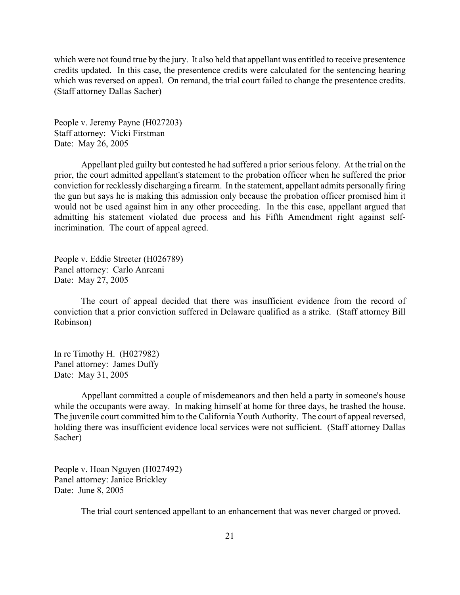which were not found true by the jury. It also held that appellant was entitled to receive presentence credits updated. In this case, the presentence credits were calculated for the sentencing hearing which was reversed on appeal. On remand, the trial court failed to change the presentence credits. (Staff attorney Dallas Sacher)

People v. Jeremy Payne (H027203) Staff attorney: Vicki Firstman Date: May 26, 2005

Appellant pled guilty but contested he had suffered a prior serious felony. At the trial on the prior, the court admitted appellant's statement to the probation officer when he suffered the prior conviction for recklessly discharging a firearm. In the statement, appellant admits personally firing the gun but says he is making this admission only because the probation officer promised him it would not be used against him in any other proceeding. In the this case, appellant argued that admitting his statement violated due process and his Fifth Amendment right against selfincrimination. The court of appeal agreed.

People v. Eddie Streeter (H026789) Panel attorney: Carlo Anreani Date: May 27, 2005

The court of appeal decided that there was insufficient evidence from the record of conviction that a prior conviction suffered in Delaware qualified as a strike. (Staff attorney Bill Robinson)

In re Timothy H. (H027982) Panel attorney: James Duffy Date: May 31, 2005

Appellant committed a couple of misdemeanors and then held a party in someone's house while the occupants were away. In making himself at home for three days, he trashed the house. The juvenile court committed him to the California Youth Authority. The court of appeal reversed, holding there was insufficient evidence local services were not sufficient. (Staff attorney Dallas Sacher)

People v. Hoan Nguyen (H027492) Panel attorney: Janice Brickley Date: June 8, 2005

The trial court sentenced appellant to an enhancement that was never charged or proved.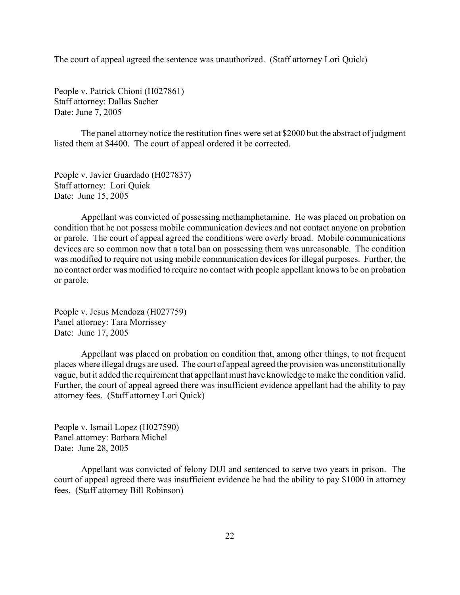The court of appeal agreed the sentence was unauthorized. (Staff attorney Lori Quick)

People v. Patrick Chioni (H027861) Staff attorney: Dallas Sacher Date: June 7, 2005

The panel attorney notice the restitution fines were set at \$2000 but the abstract of judgment listed them at \$4400. The court of appeal ordered it be corrected.

People v. Javier Guardado (H027837) Staff attorney: Lori Quick Date: June 15, 2005

Appellant was convicted of possessing methamphetamine. He was placed on probation on condition that he not possess mobile communication devices and not contact anyone on probation or parole. The court of appeal agreed the conditions were overly broad. Mobile communications devices are so common now that a total ban on possessing them was unreasonable. The condition was modified to require not using mobile communication devices for illegal purposes. Further, the no contact order was modified to require no contact with people appellant knows to be on probation or parole.

People v. Jesus Mendoza (H027759) Panel attorney: Tara Morrissey Date: June 17, 2005

Appellant was placed on probation on condition that, among other things, to not frequent places where illegal drugs are used. The court of appeal agreed the provision was unconstitutionally vague, but it added the requirement that appellant must have knowledge to make the condition valid. Further, the court of appeal agreed there was insufficient evidence appellant had the ability to pay attorney fees. (Staff attorney Lori Quick)

People v. Ismail Lopez (H027590) Panel attorney: Barbara Michel Date: June 28, 2005

Appellant was convicted of felony DUI and sentenced to serve two years in prison. The court of appeal agreed there was insufficient evidence he had the ability to pay \$1000 in attorney fees. (Staff attorney Bill Robinson)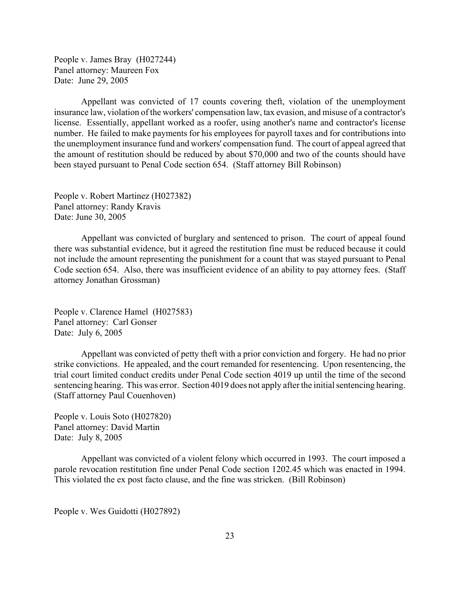People v. James Bray (H027244) Panel attorney: Maureen Fox Date: June 29, 2005

Appellant was convicted of 17 counts covering theft, violation of the unemployment insurance law, violation of the workers' compensation law, tax evasion, and misuse of a contractor's license. Essentially, appellant worked as a roofer, using another's name and contractor's license number. He failed to make payments for his employees for payroll taxes and for contributions into the unemployment insurance fund and workers' compensation fund. The court of appeal agreed that the amount of restitution should be reduced by about \$70,000 and two of the counts should have been stayed pursuant to Penal Code section 654. (Staff attorney Bill Robinson)

People v. Robert Martinez (H027382) Panel attorney: Randy Kravis Date: June 30, 2005

Appellant was convicted of burglary and sentenced to prison. The court of appeal found there was substantial evidence, but it agreed the restitution fine must be reduced because it could not include the amount representing the punishment for a count that was stayed pursuant to Penal Code section 654. Also, there was insufficient evidence of an ability to pay attorney fees. (Staff attorney Jonathan Grossman)

People v. Clarence Hamel (H027583) Panel attorney: Carl Gonser Date: July 6, 2005

Appellant was convicted of petty theft with a prior conviction and forgery. He had no prior strike convictions. He appealed, and the court remanded for resentencing. Upon resentencing, the trial court limited conduct credits under Penal Code section 4019 up until the time of the second sentencing hearing. This was error. Section 4019 does not apply after the initial sentencing hearing. (Staff attorney Paul Couenhoven)

People v. Louis Soto (H027820) Panel attorney: David Martin Date: July 8, 2005

Appellant was convicted of a violent felony which occurred in 1993. The court imposed a parole revocation restitution fine under Penal Code section 1202.45 which was enacted in 1994. This violated the ex post facto clause, and the fine was stricken. (Bill Robinson)

People v. Wes Guidotti (H027892)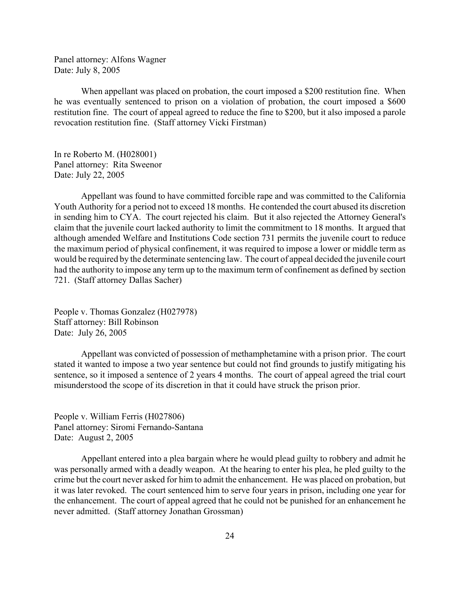Panel attorney: Alfons Wagner Date: July 8, 2005

When appellant was placed on probation, the court imposed a \$200 restitution fine. When he was eventually sentenced to prison on a violation of probation, the court imposed a \$600 restitution fine. The court of appeal agreed to reduce the fine to \$200, but it also imposed a parole revocation restitution fine. (Staff attorney Vicki Firstman)

In re Roberto M. (H028001) Panel attorney: Rita Sweenor Date: July 22, 2005

Appellant was found to have committed forcible rape and was committed to the California Youth Authority for a period not to exceed 18 months. He contended the court abused its discretion in sending him to CYA. The court rejected his claim. But it also rejected the Attorney General's claim that the juvenile court lacked authority to limit the commitment to 18 months. It argued that although amended Welfare and Institutions Code section 731 permits the juvenile court to reduce the maximum period of physical confinement, it was required to impose a lower or middle term as would be required by the determinate sentencing law. The court of appeal decided the juvenile court had the authority to impose any term up to the maximum term of confinement as defined by section 721. (Staff attorney Dallas Sacher)

People v. Thomas Gonzalez (H027978) Staff attorney: Bill Robinson Date: July 26, 2005

Appellant was convicted of possession of methamphetamine with a prison prior. The court stated it wanted to impose a two year sentence but could not find grounds to justify mitigating his sentence, so it imposed a sentence of 2 years 4 months. The court of appeal agreed the trial court misunderstood the scope of its discretion in that it could have struck the prison prior.

People v. William Ferris (H027806) Panel attorney: Siromi Fernando-Santana Date: August 2, 2005

Appellant entered into a plea bargain where he would plead guilty to robbery and admit he was personally armed with a deadly weapon. At the hearing to enter his plea, he pled guilty to the crime but the court never asked for him to admit the enhancement. He was placed on probation, but it was later revoked. The court sentenced him to serve four years in prison, including one year for the enhancement. The court of appeal agreed that he could not be punished for an enhancement he never admitted. (Staff attorney Jonathan Grossman)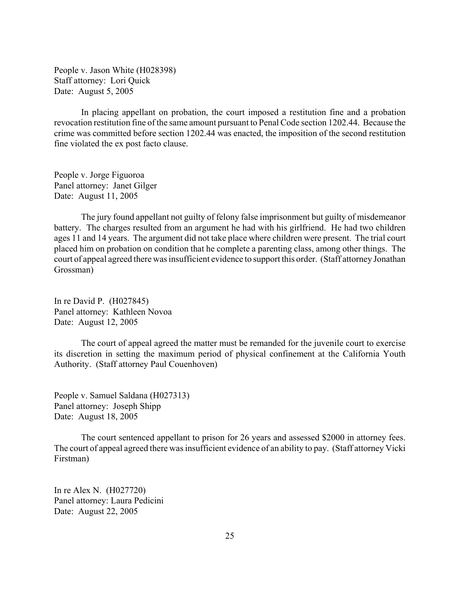People v. Jason White (H028398) Staff attorney: Lori Quick Date: August 5, 2005

In placing appellant on probation, the court imposed a restitution fine and a probation revocation restitution fine of the same amount pursuant to Penal Code section 1202.44. Because the crime was committed before section 1202.44 was enacted, the imposition of the second restitution fine violated the ex post facto clause.

People v. Jorge Figuoroa Panel attorney: Janet Gilger Date: August 11, 2005

The jury found appellant not guilty of felony false imprisonment but guilty of misdemeanor battery. The charges resulted from an argument he had with his girlfriend. He had two children ages 11 and 14 years. The argument did not take place where children were present. The trial court placed him on probation on condition that he complete a parenting class, among other things. The court of appeal agreed there was insufficient evidence to support this order. (Staff attorney Jonathan Grossman)

In re David P. (H027845) Panel attorney: Kathleen Novoa Date: August 12, 2005

The court of appeal agreed the matter must be remanded for the juvenile court to exercise its discretion in setting the maximum period of physical confinement at the California Youth Authority. (Staff attorney Paul Couenhoven)

People v. Samuel Saldana (H027313) Panel attorney: Joseph Shipp Date: August 18, 2005

The court sentenced appellant to prison for 26 years and assessed \$2000 in attorney fees. The court of appeal agreed there was insufficient evidence of an ability to pay. (Staff attorney Vicki Firstman)

In re Alex N. (H027720) Panel attorney: Laura Pedicini Date: August 22, 2005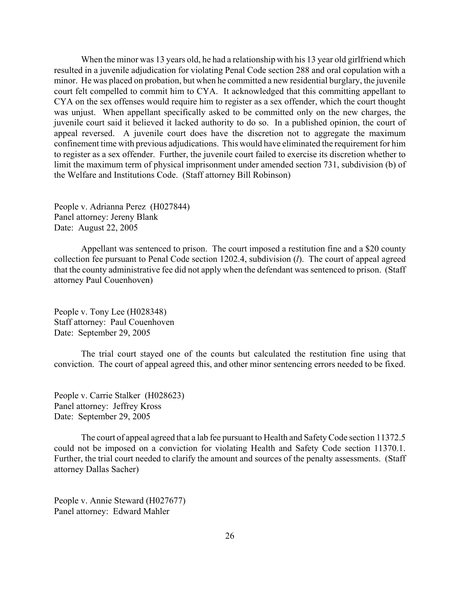When the minor was 13 years old, he had a relationship with his 13 year old girlfriend which resulted in a juvenile adjudication for violating Penal Code section 288 and oral copulation with a minor. He was placed on probation, but when he committed a new residential burglary, the juvenile court felt compelled to commit him to CYA. It acknowledged that this committing appellant to CYA on the sex offenses would require him to register as a sex offender, which the court thought was unjust. When appellant specifically asked to be committed only on the new charges, the juvenile court said it believed it lacked authority to do so. In a published opinion, the court of appeal reversed. A juvenile court does have the discretion not to aggregate the maximum confinement time with previous adjudications. This would have eliminated the requirement for him to register as a sex offender. Further, the juvenile court failed to exercise its discretion whether to limit the maximum term of physical imprisonment under amended section 731, subdivision (b) of the Welfare and Institutions Code. (Staff attorney Bill Robinson)

People v. Adrianna Perez (H027844) Panel attorney: Jereny Blank Date: August 22, 2005

Appellant was sentenced to prison. The court imposed a restitution fine and a \$20 county collection fee pursuant to Penal Code section 1202.4, subdivision (*l*). The court of appeal agreed that the county administrative fee did not apply when the defendant was sentenced to prison. (Staff attorney Paul Couenhoven)

People v. Tony Lee (H028348) Staff attorney: Paul Couenhoven Date: September 29, 2005

The trial court stayed one of the counts but calculated the restitution fine using that conviction. The court of appeal agreed this, and other minor sentencing errors needed to be fixed.

People v. Carrie Stalker (H028623) Panel attorney: Jeffrey Kross Date: September 29, 2005

The court of appeal agreed that a lab fee pursuant to Health and Safety Code section 11372.5 could not be imposed on a conviction for violating Health and Safety Code section 11370.1. Further, the trial court needed to clarify the amount and sources of the penalty assessments. (Staff attorney Dallas Sacher)

People v. Annie Steward (H027677) Panel attorney: Edward Mahler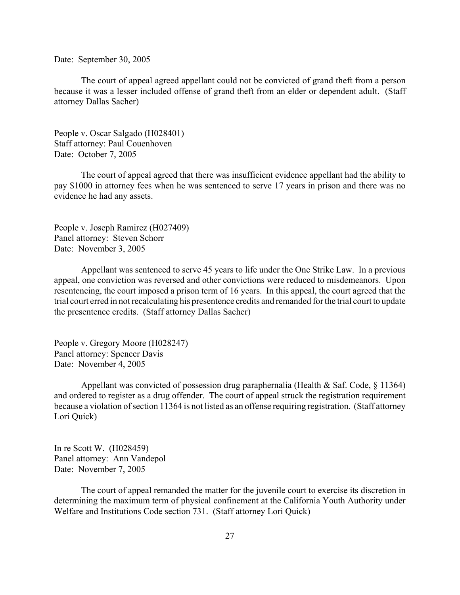Date: September 30, 2005

The court of appeal agreed appellant could not be convicted of grand theft from a person because it was a lesser included offense of grand theft from an elder or dependent adult. (Staff attorney Dallas Sacher)

People v. Oscar Salgado (H028401) Staff attorney: Paul Couenhoven Date: October 7, 2005

The court of appeal agreed that there was insufficient evidence appellant had the ability to pay \$1000 in attorney fees when he was sentenced to serve 17 years in prison and there was no evidence he had any assets.

People v. Joseph Ramirez (H027409) Panel attorney: Steven Schorr Date: November 3, 2005

Appellant was sentenced to serve 45 years to life under the One Strike Law. In a previous appeal, one conviction was reversed and other convictions were reduced to misdemeanors. Upon resentencing, the court imposed a prison term of 16 years. In this appeal, the court agreed that the trial court erred in not recalculating his presentence credits and remanded for the trial court to update the presentence credits. (Staff attorney Dallas Sacher)

People v. Gregory Moore (H028247) Panel attorney: Spencer Davis Date: November 4, 2005

Appellant was convicted of possession drug paraphernalia (Health & Saf. Code,  $\S$  11364) and ordered to register as a drug offender. The court of appeal struck the registration requirement because a violation of section 11364 is not listed as an offense requiring registration. (Staff attorney Lori Quick)

In re Scott W. (H028459) Panel attorney: Ann Vandepol Date: November 7, 2005

The court of appeal remanded the matter for the juvenile court to exercise its discretion in determining the maximum term of physical confinement at the California Youth Authority under Welfare and Institutions Code section 731. (Staff attorney Lori Quick)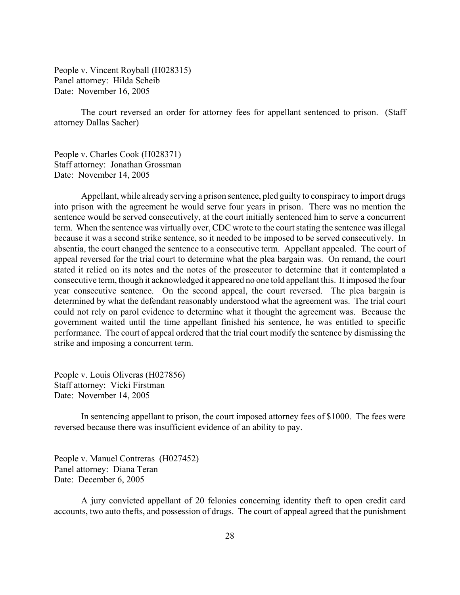People v. Vincent Royball (H028315) Panel attorney: Hilda Scheib Date: November 16, 2005

The court reversed an order for attorney fees for appellant sentenced to prison. (Staff attorney Dallas Sacher)

People v. Charles Cook (H028371) Staff attorney: Jonathan Grossman Date: November 14, 2005

Appellant, while already serving a prison sentence, pled guilty to conspiracy to import drugs into prison with the agreement he would serve four years in prison. There was no mention the sentence would be served consecutively, at the court initially sentenced him to serve a concurrent term. When the sentence was virtually over, CDC wrote to the court stating the sentence was illegal because it was a second strike sentence, so it needed to be imposed to be served consecutively. In absentia, the court changed the sentence to a consecutive term. Appellant appealed. The court of appeal reversed for the trial court to determine what the plea bargain was. On remand, the court stated it relied on its notes and the notes of the prosecutor to determine that it contemplated a consecutive term, though it acknowledged it appeared no one told appellant this. It imposed the four year consecutive sentence. On the second appeal, the court reversed. The plea bargain is determined by what the defendant reasonably understood what the agreement was. The trial court could not rely on parol evidence to determine what it thought the agreement was. Because the government waited until the time appellant finished his sentence, he was entitled to specific performance. The court of appeal ordered that the trial court modify the sentence by dismissing the strike and imposing a concurrent term.

People v. Louis Oliveras (H027856) Staff attorney: Vicki Firstman Date: November 14, 2005

In sentencing appellant to prison, the court imposed attorney fees of \$1000. The fees were reversed because there was insufficient evidence of an ability to pay.

People v. Manuel Contreras (H027452) Panel attorney: Diana Teran Date: December 6, 2005

A jury convicted appellant of 20 felonies concerning identity theft to open credit card accounts, two auto thefts, and possession of drugs. The court of appeal agreed that the punishment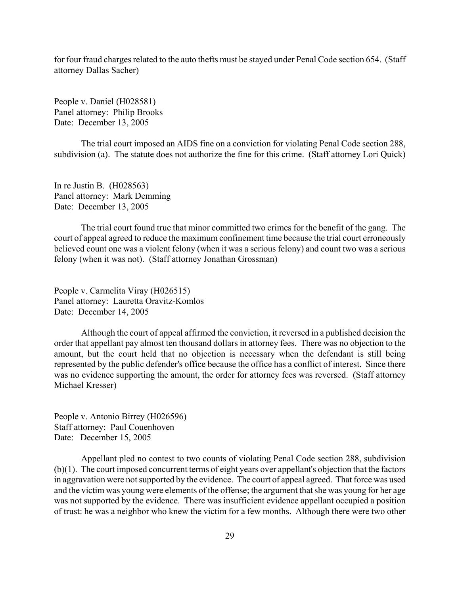for four fraud charges related to the auto thefts must be stayed under Penal Code section 654. (Staff attorney Dallas Sacher)

People v. Daniel (H028581) Panel attorney: Philip Brooks Date: December 13, 2005

The trial court imposed an AIDS fine on a conviction for violating Penal Code section 288, subdivision (a). The statute does not authorize the fine for this crime. (Staff attorney Lori Quick)

In re Justin B. (H028563) Panel attorney: Mark Demming Date: December 13, 2005

The trial court found true that minor committed two crimes for the benefit of the gang. The court of appeal agreed to reduce the maximum confinement time because the trial court erroneously believed count one was a violent felony (when it was a serious felony) and count two was a serious felony (when it was not). (Staff attorney Jonathan Grossman)

People v. Carmelita Viray (H026515) Panel attorney: Lauretta Oravitz-Komlos Date: December 14, 2005

Although the court of appeal affirmed the conviction, it reversed in a published decision the order that appellant pay almost ten thousand dollars in attorney fees. There was no objection to the amount, but the court held that no objection is necessary when the defendant is still being represented by the public defender's office because the office has a conflict of interest. Since there was no evidence supporting the amount, the order for attorney fees was reversed. (Staff attorney Michael Kresser)

People v. Antonio Birrey (H026596) Staff attorney: Paul Couenhoven Date: December 15, 2005

Appellant pled no contest to two counts of violating Penal Code section 288, subdivision (b)(1). The court imposed concurrent terms of eight years over appellant's objection that the factors in aggravation were not supported by the evidence. The court of appeal agreed. That force was used and the victim was young were elements of the offense; the argument that she was young for her age was not supported by the evidence. There was insufficient evidence appellant occupied a position of trust: he was a neighbor who knew the victim for a few months. Although there were two other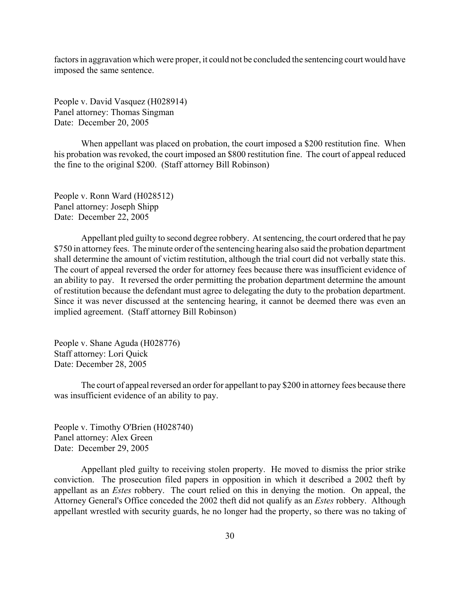factors in aggravation which were proper, it could not be concluded the sentencing court would have imposed the same sentence.

People v. David Vasquez (H028914) Panel attorney: Thomas Singman Date: December 20, 2005

When appellant was placed on probation, the court imposed a \$200 restitution fine. When his probation was revoked, the court imposed an \$800 restitution fine. The court of appeal reduced the fine to the original \$200. (Staff attorney Bill Robinson)

People v. Ronn Ward (H028512) Panel attorney: Joseph Shipp Date: December 22, 2005

Appellant pled guilty to second degree robbery. At sentencing, the court ordered that he pay \$750 in attorney fees. The minute order of the sentencing hearing also said the probation department shall determine the amount of victim restitution, although the trial court did not verbally state this. The court of appeal reversed the order for attorney fees because there was insufficient evidence of an ability to pay. It reversed the order permitting the probation department determine the amount of restitution because the defendant must agree to delegating the duty to the probation department. Since it was never discussed at the sentencing hearing, it cannot be deemed there was even an implied agreement. (Staff attorney Bill Robinson)

People v. Shane Aguda (H028776) Staff attorney: Lori Quick Date: December 28, 2005

The court of appeal reversed an order for appellant to pay \$200 in attorney fees because there was insufficient evidence of an ability to pay.

People v. Timothy O'Brien (H028740) Panel attorney: Alex Green Date: December 29, 2005

Appellant pled guilty to receiving stolen property. He moved to dismiss the prior strike conviction. The prosecution filed papers in opposition in which it described a 2002 theft by appellant as an *Estes* robbery. The court relied on this in denying the motion. On appeal, the Attorney General's Office conceded the 2002 theft did not qualify as an *Estes* robbery. Although appellant wrestled with security guards, he no longer had the property, so there was no taking of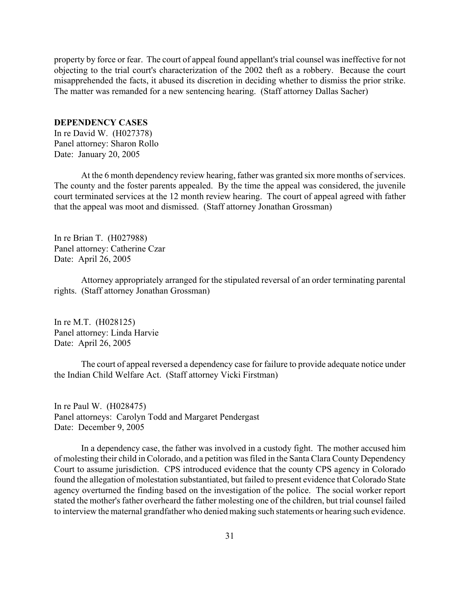<span id="page-30-0"></span>property by force or fear. The court of appeal found appellant's trial counsel was ineffective for not objecting to the trial court's characterization of the 2002 theft as a robbery. Because the court misapprehended the facts, it abused its discretion in deciding whether to dismiss the prior strike. The matter was remanded for a new sentencing hearing. (Staff attorney Dallas Sacher)

#### **DEPENDENCY CASES**

In re David W. (H027378) Panel attorney: Sharon Rollo Date: January 20, 2005

At the 6 month dependency review hearing, father was granted six more months of services. The county and the foster parents appealed. By the time the appeal was considered, the juvenile court terminated services at the 12 month review hearing. The court of appeal agreed with father that the appeal was moot and dismissed. (Staff attorney Jonathan Grossman)

In re Brian T. (H027988) Panel attorney: Catherine Czar Date: April 26, 2005

Attorney appropriately arranged for the stipulated reversal of an order terminating parental rights. (Staff attorney Jonathan Grossman)

In re M.T. (H028125) Panel attorney: Linda Harvie Date: April 26, 2005

The court of appeal reversed a dependency case for failure to provide adequate notice under the Indian Child Welfare Act. (Staff attorney Vicki Firstman)

In re Paul W. (H028475) Panel attorneys: Carolyn Todd and Margaret Pendergast Date: December 9, 2005

In a dependency case, the father was involved in a custody fight. The mother accused him of molesting their child in Colorado, and a petition was filed in the Santa Clara County Dependency Court to assume jurisdiction. CPS introduced evidence that the county CPS agency in Colorado found the allegation of molestation substantiated, but failed to present evidence that Colorado State agency overturned the finding based on the investigation of the police. The social worker report stated the mother's father overheard the father molesting one of the children, but trial counsel failed to interview the maternal grandfather who denied making such statements or hearing such evidence.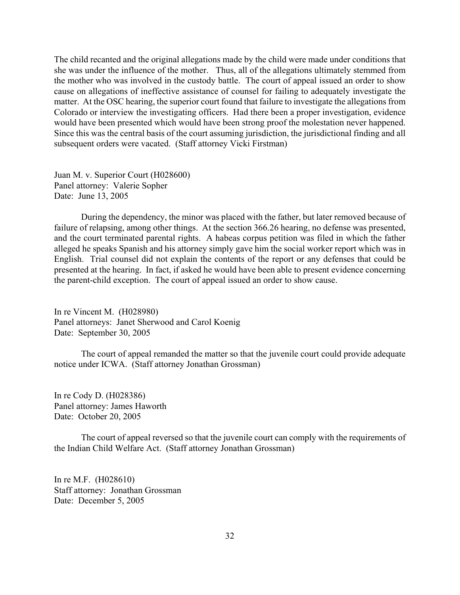The child recanted and the original allegations made by the child were made under conditions that she was under the influence of the mother. Thus, all of the allegations ultimately stemmed from the mother who was involved in the custody battle. The court of appeal issued an order to show cause on allegations of ineffective assistance of counsel for failing to adequately investigate the matter. At the OSC hearing, the superior court found that failure to investigate the allegations from Colorado or interview the investigating officers. Had there been a proper investigation, evidence would have been presented which would have been strong proof the molestation never happened. Since this was the central basis of the court assuming jurisdiction, the jurisdictional finding and all subsequent orders were vacated. (Staff attorney Vicki Firstman)

Juan M. v. Superior Court (H028600) Panel attorney: Valerie Sopher Date: June 13, 2005

During the dependency, the minor was placed with the father, but later removed because of failure of relapsing, among other things. At the section 366.26 hearing, no defense was presented, and the court terminated parental rights. A habeas corpus petition was filed in which the father alleged he speaks Spanish and his attorney simply gave him the social worker report which was in English. Trial counsel did not explain the contents of the report or any defenses that could be presented at the hearing. In fact, if asked he would have been able to present evidence concerning the parent-child exception. The court of appeal issued an order to show cause.

In re Vincent M. (H028980) Panel attorneys: Janet Sherwood and Carol Koenig Date: September 30, 2005

The court of appeal remanded the matter so that the juvenile court could provide adequate notice under ICWA. (Staff attorney Jonathan Grossman)

In re Cody D. (H028386) Panel attorney: James Haworth Date: October 20, 2005

The court of appeal reversed so that the juvenile court can comply with the requirements of the Indian Child Welfare Act. (Staff attorney Jonathan Grossman)

In re M.F. (H028610) Staff attorney: Jonathan Grossman Date: December 5, 2005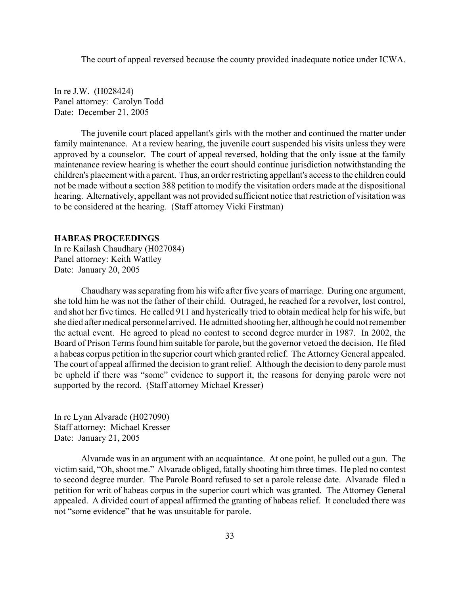<span id="page-32-0"></span>The court of appeal reversed because the county provided inadequate notice under ICWA.

In re J.W. (H028424) Panel attorney: Carolyn Todd Date: December 21, 2005

The juvenile court placed appellant's girls with the mother and continued the matter under family maintenance. At a review hearing, the juvenile court suspended his visits unless they were approved by a counselor. The court of appeal reversed, holding that the only issue at the family maintenance review hearing is whether the court should continue jurisdiction notwithstanding the children's placement with a parent. Thus, an order restricting appellant's access to the children could not be made without a section 388 petition to modify the visitation orders made at the dispositional hearing. Alternatively, appellant was not provided sufficient notice that restriction of visitation was to be considered at the hearing. (Staff attorney Vicki Firstman)

#### **HABEAS PROCEEDINGS**

In re Kailash Chaudhary (H027084) Panel attorney: Keith Wattley Date: January 20, 2005

Chaudhary was separating from his wife after five years of marriage. During one argument, she told him he was not the father of their child. Outraged, he reached for a revolver, lost control, and shot her five times. He called 911 and hysterically tried to obtain medical help for his wife, but she died after medical personnel arrived. He admitted shooting her, although he could not remember the actual event. He agreed to plead no contest to second degree murder in 1987. In 2002, the Board of Prison Terms found him suitable for parole, but the governor vetoed the decision. He filed a habeas corpus petition in the superior court which granted relief. The Attorney General appealed. The court of appeal affirmed the decision to grant relief. Although the decision to deny parole must be upheld if there was "some" evidence to support it, the reasons for denying parole were not supported by the record. (Staff attorney Michael Kresser)

In re Lynn Alvarade (H027090) Staff attorney: Michael Kresser Date: January 21, 2005

Alvarade was in an argument with an acquaintance. At one point, he pulled out a gun. The victim said, "Oh, shoot me." Alvarade obliged, fatally shooting him three times. He pled no contest to second degree murder. The Parole Board refused to set a parole release date. Alvarade filed a petition for writ of habeas corpus in the superior court which was granted. The Attorney General appealed. A divided court of appeal affirmed the granting of habeas relief. It concluded there was not "some evidence" that he was unsuitable for parole.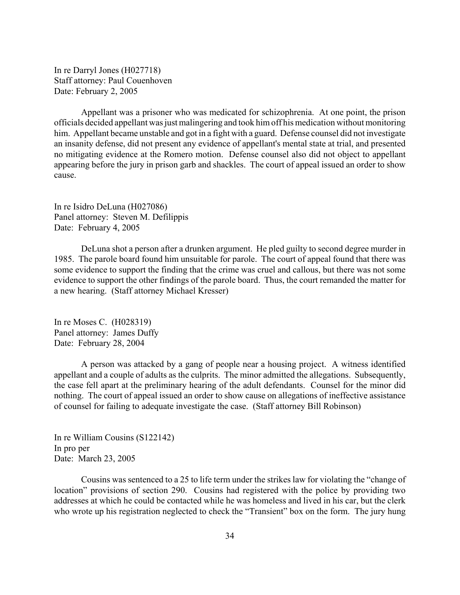In re Darryl Jones (H027718) Staff attorney: Paul Couenhoven Date: February 2, 2005

Appellant was a prisoner who was medicated for schizophrenia. At one point, the prison officials decided appellant was just malingering and took him off his medication without monitoring him. Appellant became unstable and got in a fight with a guard. Defense counsel did not investigate an insanity defense, did not present any evidence of appellant's mental state at trial, and presented no mitigating evidence at the Romero motion. Defense counsel also did not object to appellant appearing before the jury in prison garb and shackles. The court of appeal issued an order to show cause.

In re Isidro DeLuna (H027086) Panel attorney: Steven M. Defilippis Date: February 4, 2005

DeLuna shot a person after a drunken argument. He pled guilty to second degree murder in 1985. The parole board found him unsuitable for parole. The court of appeal found that there was some evidence to support the finding that the crime was cruel and callous, but there was not some evidence to support the other findings of the parole board. Thus, the court remanded the matter for a new hearing. (Staff attorney Michael Kresser)

In re Moses C. (H028319) Panel attorney: James Duffy Date: February 28, 2004

A person was attacked by a gang of people near a housing project. A witness identified appellant and a couple of adults as the culprits. The minor admitted the allegations. Subsequently, the case fell apart at the preliminary hearing of the adult defendants. Counsel for the minor did nothing. The court of appeal issued an order to show cause on allegations of ineffective assistance of counsel for failing to adequate investigate the case. (Staff attorney Bill Robinson)

In re William Cousins (S122142) In pro per Date: March 23, 2005

Cousins was sentenced to a 25 to life term under the strikes law for violating the "change of location" provisions of section 290. Cousins had registered with the police by providing two addresses at which he could be contacted while he was homeless and lived in his car, but the clerk who wrote up his registration neglected to check the "Transient" box on the form. The jury hung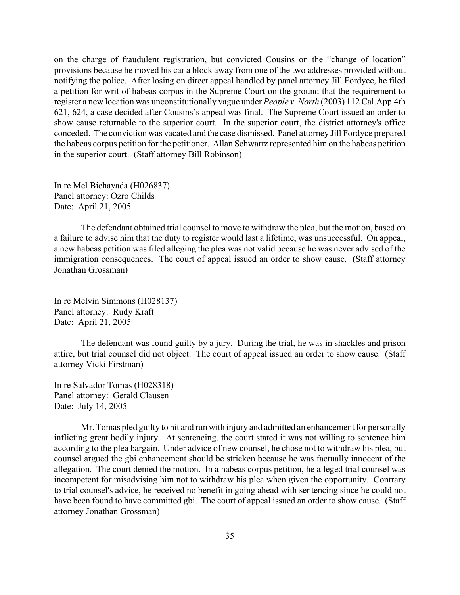on the charge of fraudulent registration, but convicted Cousins on the "change of location" provisions because he moved his car a block away from one of the two addresses provided without notifying the police. After losing on direct appeal handled by panel attorney Jill Fordyce, he filed a petition for writ of habeas corpus in the Supreme Court on the ground that the requirement to register a new location was unconstitutionally vague under *People v. North* (2003) 112 Cal.App.4th 621, 624, a case decided after Cousins's appeal was final. The Supreme Court issued an order to show cause returnable to the superior court. In the superior court, the district attorney's office conceded. The conviction was vacated and the case dismissed. Panel attorney Jill Fordyce prepared the habeas corpus petition for the petitioner. Allan Schwartz represented him on the habeas petition in the superior court. (Staff attorney Bill Robinson)

In re Mel Bichayada (H026837) Panel attorney: Ozro Childs Date: April 21, 2005

The defendant obtained trial counsel to move to withdraw the plea, but the motion, based on a failure to advise him that the duty to register would last a lifetime, was unsuccessful. On appeal, a new habeas petition was filed alleging the plea was not valid because he was never advised of the immigration consequences. The court of appeal issued an order to show cause. (Staff attorney Jonathan Grossman)

In re Melvin Simmons (H028137) Panel attorney: Rudy Kraft Date: April 21, 2005

The defendant was found guilty by a jury. During the trial, he was in shackles and prison attire, but trial counsel did not object. The court of appeal issued an order to show cause. (Staff attorney Vicki Firstman)

In re Salvador Tomas (H028318) Panel attorney: Gerald Clausen Date: July 14, 2005

Mr. Tomas pled guilty to hit and run with injury and admitted an enhancement for personally inflicting great bodily injury. At sentencing, the court stated it was not willing to sentence him according to the plea bargain. Under advice of new counsel, he chose not to withdraw his plea, but counsel argued the gbi enhancement should be stricken because he was factually innocent of the allegation. The court denied the motion. In a habeas corpus petition, he alleged trial counsel was incompetent for misadvising him not to withdraw his plea when given the opportunity. Contrary to trial counsel's advice, he received no benefit in going ahead with sentencing since he could not have been found to have committed gbi. The court of appeal issued an order to show cause. (Staff attorney Jonathan Grossman)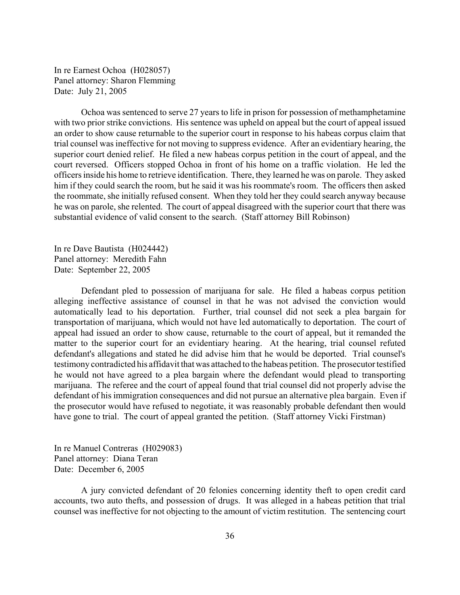In re Earnest Ochoa (H028057) Panel attorney: Sharon Flemming Date: July 21, 2005

Ochoa was sentenced to serve 27 years to life in prison for possession of methamphetamine with two prior strike convictions. His sentence was upheld on appeal but the court of appeal issued an order to show cause returnable to the superior court in response to his habeas corpus claim that trial counsel was ineffective for not moving to suppress evidence. After an evidentiary hearing, the superior court denied relief. He filed a new habeas corpus petition in the court of appeal, and the court reversed. Officers stopped Ochoa in front of his home on a traffic violation. He led the officers inside his home to retrieve identification. There, they learned he was on parole. They asked him if they could search the room, but he said it was his roommate's room. The officers then asked the roommate, she initially refused consent. When they told her they could search anyway because he was on parole, she relented. The court of appeal disagreed with the superior court that there was substantial evidence of valid consent to the search. (Staff attorney Bill Robinson)

In re Dave Bautista (H024442) Panel attorney: Meredith Fahn Date: September 22, 2005

Defendant pled to possession of marijuana for sale. He filed a habeas corpus petition alleging ineffective assistance of counsel in that he was not advised the conviction would automatically lead to his deportation. Further, trial counsel did not seek a plea bargain for transportation of marijuana, which would not have led automatically to deportation. The court of appeal had issued an order to show cause, returnable to the court of appeal, but it remanded the matter to the superior court for an evidentiary hearing. At the hearing, trial counsel refuted defendant's allegations and stated he did advise him that he would be deported. Trial counsel's testimony contradicted his affidavit that was attached to the habeas petition. The prosecutor testified he would not have agreed to a plea bargain where the defendant would plead to transporting marijuana. The referee and the court of appeal found that trial counsel did not properly advise the defendant of his immigration consequences and did not pursue an alternative plea bargain. Even if the prosecutor would have refused to negotiate, it was reasonably probable defendant then would have gone to trial. The court of appeal granted the petition. (Staff attorney Vicki Firstman)

In re Manuel Contreras (H029083) Panel attorney: Diana Teran Date: December 6, 2005

A jury convicted defendant of 20 felonies concerning identity theft to open credit card accounts, two auto thefts, and possession of drugs. It was alleged in a habeas petition that trial counsel was ineffective for not objecting to the amount of victim restitution. The sentencing court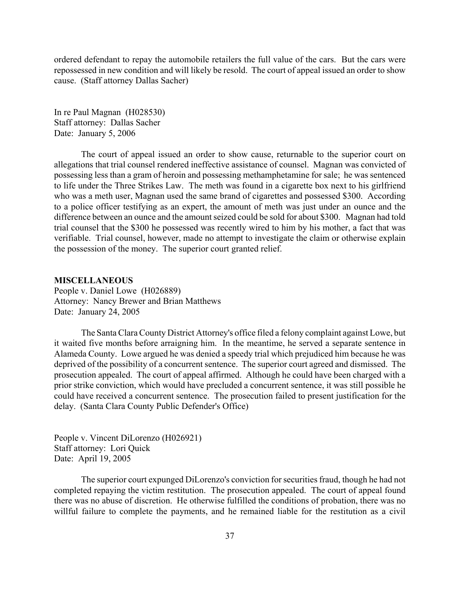<span id="page-36-0"></span>ordered defendant to repay the automobile retailers the full value of the cars. But the cars were repossessed in new condition and will likely be resold. The court of appeal issued an order to show cause. (Staff attorney Dallas Sacher)

In re Paul Magnan (H028530) Staff attorney: Dallas Sacher Date: January 5, 2006

The court of appeal issued an order to show cause, returnable to the superior court on allegations that trial counsel rendered ineffective assistance of counsel. Magnan was convicted of possessing less than a gram of heroin and possessing methamphetamine for sale; he was sentenced to life under the Three Strikes Law. The meth was found in a cigarette box next to his girlfriend who was a meth user, Magnan used the same brand of cigarettes and possessed \$300. According to a police officer testifying as an expert, the amount of meth was just under an ounce and the difference between an ounce and the amount seized could be sold for about \$300. Magnan had told trial counsel that the \$300 he possessed was recently wired to him by his mother, a fact that was verifiable. Trial counsel, however, made no attempt to investigate the claim or otherwise explain the possession of the money. The superior court granted relief.

#### **MISCELLANEOUS**

People v. Daniel Lowe (H026889) Attorney: Nancy Brewer and Brian Matthews Date: January 24, 2005

The Santa Clara County District Attorney's office filed a felony complaint against Lowe, but it waited five months before arraigning him. In the meantime, he served a separate sentence in Alameda County. Lowe argued he was denied a speedy trial which prejudiced him because he was deprived of the possibility of a concurrent sentence. The superior court agreed and dismissed. The prosecution appealed. The court of appeal affirmed. Although he could have been charged with a prior strike conviction, which would have precluded a concurrent sentence, it was still possible he could have received a concurrent sentence. The prosecution failed to present justification for the delay. (Santa Clara County Public Defender's Office)

People v. Vincent DiLorenzo (H026921) Staff attorney: Lori Quick Date: April 19, 2005

The superior court expunged DiLorenzo's conviction for securities fraud, though he had not completed repaying the victim restitution. The prosecution appealed. The court of appeal found there was no abuse of discretion. He otherwise fulfilled the conditions of probation, there was no willful failure to complete the payments, and he remained liable for the restitution as a civil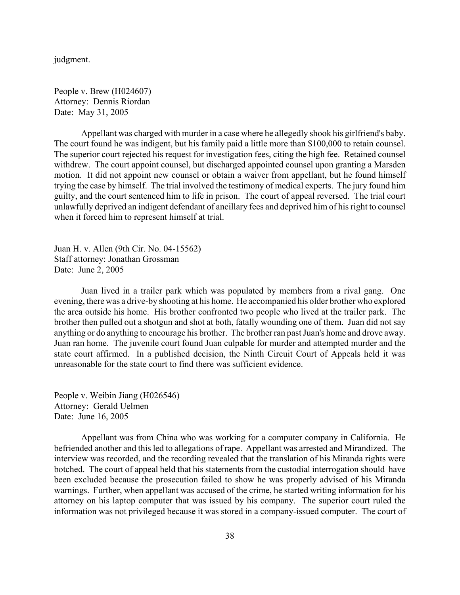judgment.

People v. Brew (H024607) Attorney: Dennis Riordan Date: May 31, 2005

Appellant was charged with murder in a case where he allegedly shook his girlfriend's baby. The court found he was indigent, but his family paid a little more than \$100,000 to retain counsel. The superior court rejected his request for investigation fees, citing the high fee. Retained counsel withdrew. The court appoint counsel, but discharged appointed counsel upon granting a Marsden motion. It did not appoint new counsel or obtain a waiver from appellant, but he found himself trying the case by himself. The trial involved the testimony of medical experts. The jury found him guilty, and the court sentenced him to life in prison. The court of appeal reversed. The trial court unlawfully deprived an indigent defendant of ancillary fees and deprived him of his right to counsel when it forced him to represent himself at trial.

Juan H. v. Allen (9th Cir. No. 04-15562) Staff attorney: Jonathan Grossman Date: June 2, 2005

Juan lived in a trailer park which was populated by members from a rival gang. One evening, there was a drive-by shooting at his home. He accompanied his older brother who explored the area outside his home. His brother confronted two people who lived at the trailer park. The brother then pulled out a shotgun and shot at both, fatally wounding one of them. Juan did not say anything or do anything to encourage his brother. The brother ran past Juan's home and drove away. Juan ran home. The juvenile court found Juan culpable for murder and attempted murder and the state court affirmed. In a published decision, the Ninth Circuit Court of Appeals held it was unreasonable for the state court to find there was sufficient evidence.

People v. Weibin Jiang (H026546) Attorney: Gerald Uelmen Date: June 16, 2005

Appellant was from China who was working for a computer company in California. He befriended another and this led to allegations of rape. Appellant was arrested and Mirandized. The interview was recorded, and the recording revealed that the translation of his Miranda rights were botched. The court of appeal held that his statements from the custodial interrogation should have been excluded because the prosecution failed to show he was properly advised of his Miranda warnings. Further, when appellant was accused of the crime, he started writing information for his attorney on his laptop computer that was issued by his company. The superior court ruled the information was not privileged because it was stored in a company-issued computer. The court of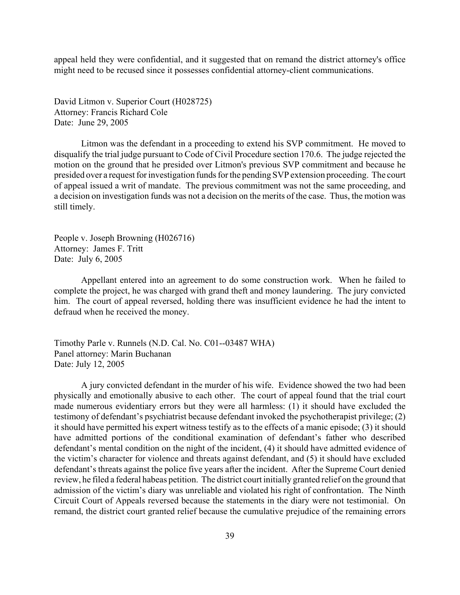appeal held they were confidential, and it suggested that on remand the district attorney's office might need to be recused since it possesses confidential attorney-client communications.

David Litmon v. Superior Court (H028725) Attorney: Francis Richard Cole Date: June 29, 2005

Litmon was the defendant in a proceeding to extend his SVP commitment. He moved to disqualify the trial judge pursuant to Code of Civil Procedure section 170.6. The judge rejected the motion on the ground that he presided over Litmon's previous SVP commitment and because he presided over a request for investigation funds for the pending SVP extension proceeding. The court of appeal issued a writ of mandate. The previous commitment was not the same proceeding, and a decision on investigation funds was not a decision on the merits of the case. Thus, the motion was still timely.

People v. Joseph Browning (H026716) Attorney: James F. Tritt Date: July 6, 2005

Appellant entered into an agreement to do some construction work. When he failed to complete the project, he was charged with grand theft and money laundering. The jury convicted him. The court of appeal reversed, holding there was insufficient evidence he had the intent to defraud when he received the money.

Timothy Parle v. Runnels (N.D. Cal. No. C01--03487 WHA) Panel attorney: Marin Buchanan Date: July 12, 2005

A jury convicted defendant in the murder of his wife. Evidence showed the two had been physically and emotionally abusive to each other. The court of appeal found that the trial court made numerous evidentiary errors but they were all harmless: (1) it should have excluded the testimony of defendant's psychiatrist because defendant invoked the psychotherapist privilege; (2) it should have permitted his expert witness testify as to the effects of a manic episode; (3) it should have admitted portions of the conditional examination of defendant's father who described defendant's mental condition on the night of the incident, (4) it should have admitted evidence of the victim's character for violence and threats against defendant, and (5) it should have excluded defendant's threats against the police five years after the incident. After the Supreme Court denied review, he filed a federal habeas petition. The district court initially granted relief on the ground that admission of the victim's diary was unreliable and violated his right of confrontation. The Ninth Circuit Court of Appeals reversed because the statements in the diary were not testimonial. On remand, the district court granted relief because the cumulative prejudice of the remaining errors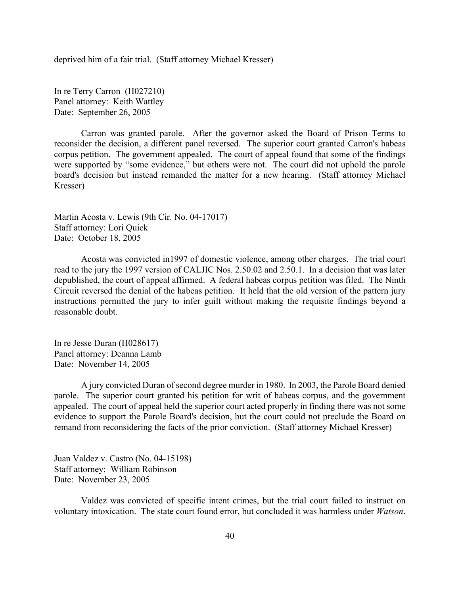deprived him of a fair trial. (Staff attorney Michael Kresser)

In re Terry Carron (H027210) Panel attorney: Keith Wattley Date: September 26, 2005

Carron was granted parole. After the governor asked the Board of Prison Terms to reconsider the decision, a different panel reversed. The superior court granted Carron's habeas corpus petition. The government appealed. The court of appeal found that some of the findings were supported by "some evidence," but others were not. The court did not uphold the parole board's decision but instead remanded the matter for a new hearing. (Staff attorney Michael Kresser)

Martin Acosta v. Lewis (9th Cir. No. 04-17017) Staff attorney: Lori Quick Date: October 18, 2005

Acosta was convicted in1997 of domestic violence, among other charges. The trial court read to the jury the 1997 version of CALJIC Nos. 2.50.02 and 2.50.1. In a decision that was later depublished, the court of appeal affirmed. A federal habeas corpus petition was filed. The Ninth Circuit reversed the denial of the habeas petition. It held that the old version of the pattern jury instructions permitted the jury to infer guilt without making the requisite findings beyond a reasonable doubt.

In re Jesse Duran (H028617) Panel attorney: Deanna Lamb Date: November 14, 2005

A jury convicted Duran of second degree murder in 1980. In 2003, the Parole Board denied parole. The superior court granted his petition for writ of habeas corpus, and the government appealed. The court of appeal held the superior court acted properly in finding there was not some evidence to support the Parole Board's decision, but the court could not preclude the Board on remand from reconsidering the facts of the prior conviction. (Staff attorney Michael Kresser)

Juan Valdez v. Castro (No. 04-15198) Staff attorney: William Robinson Date: November 23, 2005

Valdez was convicted of specific intent crimes, but the trial court failed to instruct on voluntary intoxication. The state court found error, but concluded it was harmless under *Watson*.